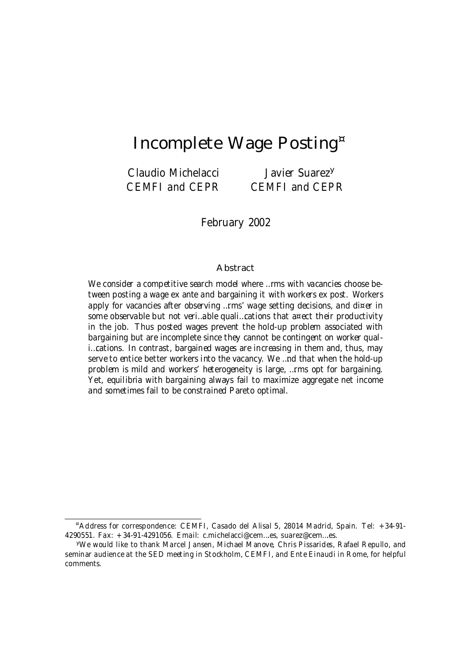# Incomplete Wage Posting<sup>®</sup>

Claudio Michelacci CEMFI and CEPR

Javier Suarez<sup>y</sup> CEMFI and CEPR

#### February 2002

#### Abstract

We consider a competitive search model where …rms with vacancies choose between posting a wage ex ante and bargaining it with workers ex post. Workers apply for vacancies after observing …rms' wage setting decisions, and di¤er in some observable but not veri…able quali…cations that a¤ect their productivity in the job. Thus posted wages prevent the hold-up problem associated with bargaining but are incomplete since they cannot be contingent on worker quali…cations. In contrast, bargained wages are increasing in them and, thus, may serve to entice better workers into the vacancy. We …nd that when the hold-up problem is mild and workers' heterogeneity is large, …rms opt for bargaining. Yet, equilibria with bargaining always fail to maximize aggregate net income and sometimes fail to be constrained Pareto optimal.

<sup>¤</sup>Address for correspondence: CEMFI, Casado del Alisal 5, 28014 Madrid, Spain. Tel: +34-91- 4290551. Fax: +34-91-4291056. Email: c.michelacci@cem….es, suarez@cem….es.

<sup>y</sup>We would like to thank Marcel Jansen, Michael Manove, Chris Pissarides, Rafael Repullo, and seminar audience at the SED meeting in Stockholm, CEMFI, and Ente Einaudi in Rome, for helpful comments.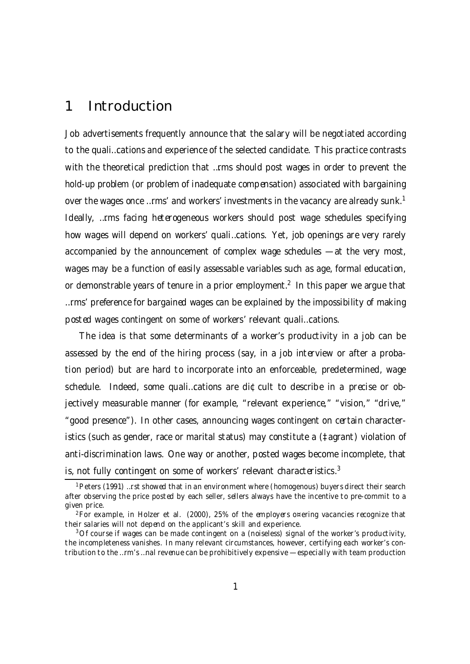# 1 Introduction

Job advertisements frequently announce that the salary will be negotiated according to the quali…cations and experience of the selected candidate. This practice contrasts with the theoretical prediction that …rms should post wages in order to prevent the hold-up problem (or problem of inadequate compensation) associated with bargaining over the wages once ...rms' and workers' investments in the vacancy are already sunk.<sup>1</sup> Ideally, …rms facing heterogeneous workers should post wage schedules specifying how wages will depend on workers' quali…cations. Yet, job openings are very rarely accompanied by the announcement of complex wage schedules —at the very most, wages may be a function of easily assessable variables such as age, formal education, or demonstrable years of tenure in a prior employment.<sup>2</sup> In this paper we argue that …rms' preference for bargained wages can be explained by the impossibility of making posted wages contingent on some of workers' relevant quali…cations.

The idea is that some determinants of a worker's productivity in a job can be assessed by the end of the hiring process (say, in a job interview or after a probation period) but are hard to incorporate into an enforceable, predetermined, wage schedule. Indeed, some quali…cations are di¢cult to describe in a precise or objectively measurable manner (for example, "relevant experience," "vision," "drive," "good presence"). In other cases, announcing wages contingent on certain characteristics (such as gender, race or marital status) may constitute a (‡agrant) violation of anti-discrimination laws. One way or another, posted wages become incomplete, that is, not fully contingent on some of workers' relevant characteristics.<sup>3</sup>

<sup>1</sup>Peters (1991) …rst showed that in an environment where (homogenous) buyers direct their search after observing the price posted by each seller, sellers always have the incentive to pre-commit to a given price.

<sup>&</sup>lt;sup>2</sup>For example, in Holzer et al. (2000), 25% of the employers o¤ering vacancies recognize that their salaries will not depend on the applicant's skill and experience.

<sup>&</sup>lt;sup>3</sup>Of course if wages can be made contingent on a (noiseless) signal of the worker's productivity, the incompleteness vanishes. In many relevant circumstances, however, certifying each worker's contribution to the …rm's …nal revenue can be prohibitively expensive —especially with team production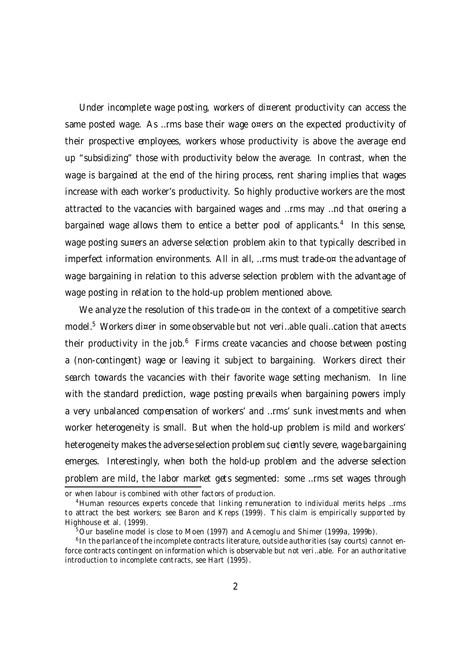Under incomplete wage posting, workers of di¤erent productivity can access the same posted wage. As …rms base their wage o¤ers on the expected productivity of their prospective employees, workers whose productivity is above the average end up "subsidizing" those with productivity below the average. In contrast, when the wage is bargained at the end of the hiring process, rent sharing implies that wages increase with each worker's productivity. So highly productive workers are the most attracted to the vacancies with bargained wages and ...rms may ...nd that o¤ering a bargained wage allows them to entice a better pool of applicants.<sup>4</sup> In this sense, wage posting su¤ers an adverse selection problem akin to that typically described in imperfect information environments. All in all, ... rms must trade-o $\alpha$  the advantage of wage bargaining in relation to this adverse selection problem with the advantage of wage posting in relation to the hold-up problem mentioned above.

We analyze the resolution of this trade-o¤ in the context of a competitive search model.<sup>5</sup> Workers di¤er in some observable but not veri...able quali...cation that a¤ects their productivity in the job.<sup>6</sup> Firms create vacancies and choose between posting a (non-contingent) wage or leaving it subject to bargaining. Workers direct their search towards the vacancies with their favorite wage setting mechanism. In line with the standard prediction, wage posting prevails when bargaining powers imply a very unbalanced compensation of workers' and …rms' sunk investments and when worker heterogeneity is small. But when the hold-up problem is mild and workers' heterogeneity makes the adverse selection problem su¢ciently severe, wage bargaining emerges. Interestingly, when both the hold-up problem and the adverse selection problem are mild, the labor market gets segmented: some …rms set wages through

or when labour is combined with other factors of production.

<sup>&</sup>lt;sup>4</sup>Human resources experts concede that linking remuneration to individual merits helps ... rms to attract the best workers; see Baron and Kreps (1999). This claim is empirically supported by Highhouse et al. (1999).

 $5$ Our baseline model is close to Moen (1997) and Acemoglu and Shimer (1999a, 1999b).

 $^6$ In the parlance of the incomplete contracts literature, outside authorities (say courts) cannot enforce contracts contingent on information which is observable but not veri...able. For an authoritative introduction to incomplete contracts, see Hart (1995).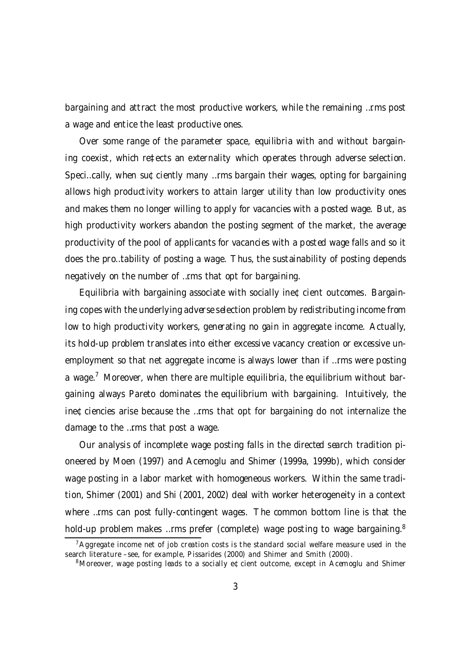bargaining and attract the most productive workers, while the remaining …rms post a wage and entice the least productive ones.

Over some range of the parameter space, equilibria with and without bargaining coexist, which re‡ects an externality which operates through adverse selection. Speci…cally, when su¢ciently many …rms bargain their wages, opting for bargaining allows high productivity workers to attain larger utility than low productivity ones and makes them no longer willing to apply for vacancies with a posted wage. But, as high productivity workers abandon the posting segment of the market, the average productivity of the pool of applicants for vacancies with a posted wage falls and so it does the pro…tability of posting a wage. Thus, the sustainability of posting depends negatively on the number of …rms that opt for bargaining.

Equilibria with bargaining associate with socially ine¢cient outcomes. Bargaining copes with the underlying adverse selection problem by redistributing income from low to high productivity workers, generating no gain in aggregate income. Actually, its hold-up problem translates into either excessive vacancy creation or excessive unemployment so that net aggregate income is always lower than if …rms were posting a wage.<sup>7</sup> Moreover, when there are multiple equilibria, the equilibrium without bargaining always Pareto dominates the equilibrium with bargaining. Intuitively, the ine¢ciencies arise because the …rms that opt for bargaining do not internalize the damage to the …rms that post a wage.

Our analysis of incomplete wage posting falls in the directed search tradition pioneered by Moen (1997) and Acemoglu and Shimer (1999a, 1999b), which consider wage posting in a labor market with homogeneous workers. Within the same tradition, Shimer (2001) and Shi (2001, 2002) deal with worker heterogeneity in a context where …rms can post fully-contingent wages. The common bottom line is that the hold-up problem makes ...rms prefer (complete) wage posting to wage bargaining.<sup>8</sup>

<sup>&</sup>lt;sup>7</sup>Aggregate income net of job creation costs is the standard social welfare measure used in the search literature –see, for example, Pissarides (2000) and Shimer and Smith (2000).

<sup>8</sup>Moreover, wage posting leads to a socially e¢cient outcome, except in Acemoglu and Shimer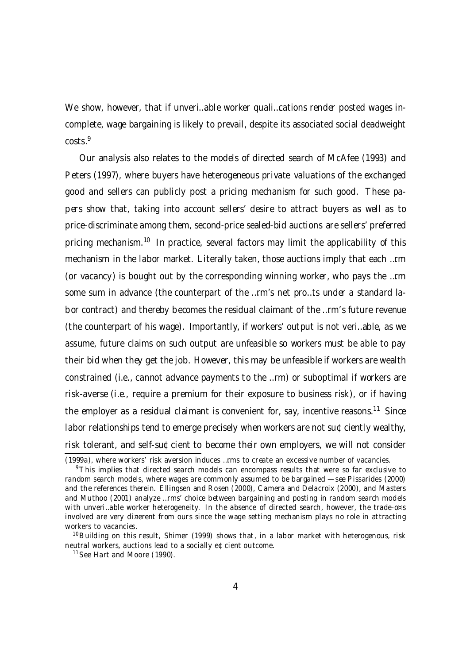We show, however, that if unveri...able worker quali...cations render posted wages incomplete, wage bargaining is likely to prevail, despite its associated social deadweight costs. 9

Our analysis also relates to the models of directed search of McAfee (1993) and Peters (1997), where buyers have heterogeneous private valuations of the exchanged good and sellers can publicly post a pricing mechanism for such good. These papers show that, taking into account sellers' desire to attract buyers as well as to price-discriminate among them, second-price sealed-bid auctions are sellers' preferred pricing mechanism.<sup>10</sup> In practice, several factors may limit the applicability of this mechanism in the labor market. Literally taken, those auctions imply that each …rm (or vacancy) is bought out by the corresponding winning worker, who pays the …rm some sum in advance (the counterpart of the …rm's net pro…ts under a standard labor contract) and thereby becomes the residual claimant of the …rm's future revenue (the counterpart of his wage). Importantly, if workers' output is not veri…able, as we assume, future claims on such output are unfeasible so workers must be able to pay their bid when they get the job. However, this may be unfeasible if workers are wealth constrained (i.e., cannot advance payments to the …rm) or suboptimal if workers are risk-averse (i.e., require a premium for their exposure to business risk), or if having the employer as a residual claimant is convenient for, say, incentive reasons.<sup>11</sup> Since labor relationships tend to emerge precisely when workers are not su¢ciently wealthy, risk tolerant, and self-su¢cient to become their own employers, we will not consider

<sup>(1999</sup>a), where workers' risk aversion induces …rms to create an excessive number of vacancies.

<sup>&</sup>lt;sup>9</sup>This implies that directed search models can encompass results that were so far exclusive to random search models, where wages are commonly assumed to be bargained -see Pissarides (2000) and the references therein. Ellingsen and Rosen (2000), Camera and Delacroix (2000), and Masters and Muthoo (2001) analyze …rms' choice between bargaining and posting in random search models with unveri...able worker heterogeneity. In the absence of directed search, however, the trade-o¤s involved are very di¤erent from ours since the wage setting mechanism plays no role in attracting workers to vacancies.

 $10$ Building on this result, Shimer (1999) shows that, in a labor market with heterogenous, risk neutral workers, auctions lead to a socially e¢cient outcome.

<sup>&</sup>lt;sup>11</sup> See Hart and Moore (1990).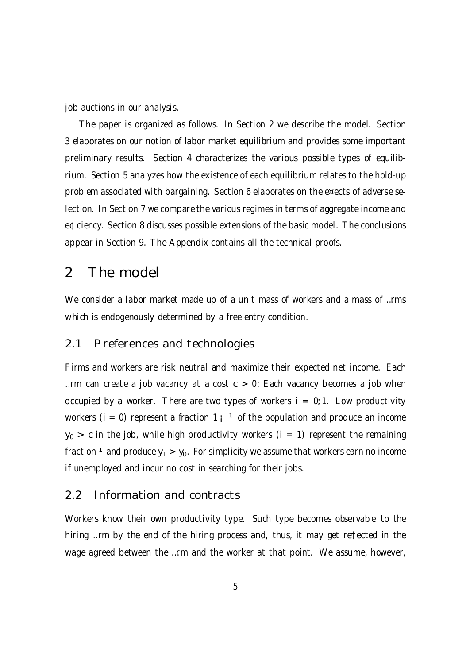job auctions in our analysis.

The paper is organized as follows. In Section 2 we describe the model. Section 3 elaborates on our notion of labor market equilibrium and provides some important preliminary results. Section 4 characterizes the various possible types of equilibrium. Section 5 analyzes how the existence of each equilibrium relates to the hold-up problem associated with bargaining. Section 6 elaborates on the e¤ects of adverse selection. In Section 7 we compare the various regimes in terms of aggregate income and e¢ciency. Section 8 discusses possible extensions of the basic model. The conclusions appear in Section 9. The Appendix contains all the technical proofs.

## 2 The model

We consider a labor market made up of a unit mass of workers and a mass of …rms which is endogenously determined by a free entry condition.

#### 2.1 Preferences and technologies

Firms and workers are risk neutral and maximize their expected net income. Each ... rm can create a job vacancy at a cost  $c > 0$ : Each vacancy becomes a job when occupied by a worker. There are two types of workers  $i = 0, 1$ . Low productivity workers (i = 0) represent a fraction 1; <sup>1</sup> of the population and produce an income  $y_0 > c$  in the job, while high productivity workers (i = 1) represent the remaining fraction  $^{\text{1}}$  and produce y $_{\text{1}}$  > y $_{\text{0}}$ . For simplicity we assume that workers earn no income if unemployed and incur no cost in searching for their jobs.

#### 2.2 Information and contracts

Workers know their own productivity type. Such type becomes observable to the hiring …rm by the end of the hiring process and, thus, it may get re‡ected in the wage agreed between the …rm and the worker at that point. We assume, however,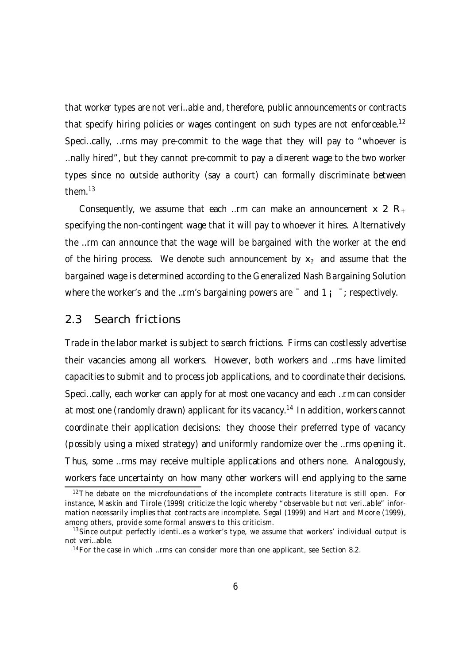that worker types are not veri…able and, therefore, public announcements or contracts that specify hiring policies or wages contingent on such types are not enforceable.<sup>12</sup> Speci…cally, …rms may pre-commit to the wage that they will pay to "whoever is …nally hired", but they cannot pre-commit to pay a di¤erent wage to the two worker types since no outside authority (say a court) can formally discriminate between them. 13

Consequently, we assume that each …rm can make an announcement  $x \ge R_+$ specifying the non-contingent wage that it will pay to whoever it hires. Alternatively the …rm can announce that the wage will be bargained with the worker at the end of the hiring process. We denote such announcement by  $x<sub>2</sub>$  and assume that the bargained wage is determined according to the Generalized Nash Bargaining Solution where the worker's and the …rm's bargaining powers are  $\bar{a}$  and  $\bar{a}$  i  $\bar{a}$ ; respectively.

#### 2.3 Search frictions

Trade in the labor market is subject to search frictions. Firms can costlessly advertise their vacancies among all workers. However, both workers and …rms have limited capacities to submit and to process job applications, and to coordinate their decisions. Speci…cally, each worker can apply for at most one vacancy and each …rm can consider at most one (randomly drawn) applicant for its vacancy.<sup>14</sup> In addition, workers cannot coordinate their application decisions: they choose their preferred type of vacancy (possibly using a mixed strategy) and uniformly randomize over the …rms opening it. Thus, some …rms may receive multiple applications and others none. Analogously, workers face uncertainty on how many other workers will end applying to the same

 $12$ The debate on the microfoundations of the incomplete contracts literature is still open. For instance, Maskin and Tirole (1999) criticize the logic whereby "observable but not veri…able" information necessarily implies that contracts are incomplete. Segal (1999) and Hart and Moore (1999), among others, provide some formal answers to this criticism.

 $13$ Since output perfectly identi…es a worker's type, we assume that workers' individual output is not veri…able.

<sup>14</sup>For the case in which …rms can consider more than one applicant, see Section 8.2.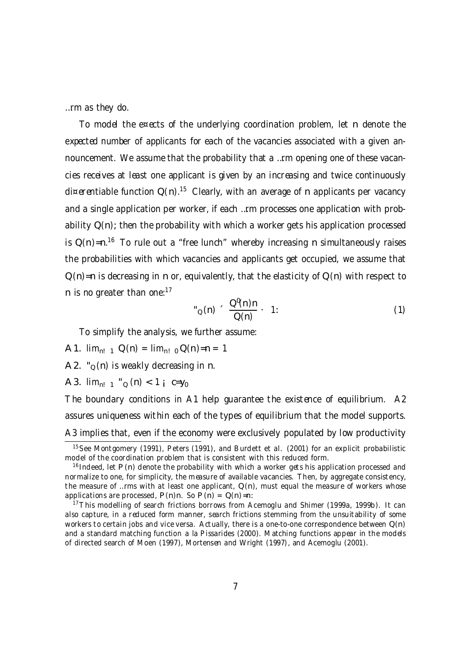…rm as they do.

To model the e¤ects of the underlying coordination problem, let n denote the expected number of applicants for each of the vacancies associated with a given announcement. We assume that the probability that a …rm opening one of these vacancies receives at least one applicant is given by an increasing and twice continuously di¤erentiable function Q(n).<sup>15</sup> Clearly, with an average of n applicants per vacancy and a single application per worker, if each …rm processes one application with probability  $Q(n)$ ; then the probability with which a worker gets his application processed is  $Q(n)$ =n.<sup>16</sup> To rule out a "free lunch" whereby increasing n simultaneously raises the probabilities with which vacancies and applicants get occupied, we assume that  $Q(n)$ =n is decreasing in n or, equivalently, that the elasticity of  $Q(n)$  with respect to n is no greater than one:<sup>17</sup>

$$
u_{\Omega}(n) \sim \frac{Q^{0}(n)n}{Q(n)}
$$
 1: (1)

To simplify the analysis, we further assume:

A1.  $\lim_{n \to 1} Q(n) = \lim_{n \to 0} Q(n) = n = 1$ 

A2. " $_{\mathcal{Q}}(n)$  is weakly decreasing in n.

A3.  $\lim_{n! \to \infty} \binom{n}{0} < 1$  ; c=y<sub>0</sub>

The boundary conditions in A1 help guarantee the existence of equilibrium. A2 assures uniqueness within each of the types of equilibrium that the model supports. A3 implies that, even if the economy were exclusively populated by low productivity

<sup>15</sup>See Montgomery (1991), Peters (1991), and Burdett et al. (2001) for an explicit probabilistic model of the coordination problem that is consistent with this reduced form.

<sup>&</sup>lt;sup>16</sup> Indeed, let P (n) denote the probability with which a worker gets his application processed and normalize to one, for simplicity, the measure of available vacancies. Then, by aggregate consistency, the measure of …rms with at least one applicant,  $Q(n)$ , must equal the measure of workers whose applications are processed,  $P(n)n$ . So  $P(n) = Q(n)$ =n:

 $17$ This modelling of search frictions borrows from Acemoglu and Shimer (1999a, 1999b). It can also capture, in a reduced form manner, search frictions stemming from the unsuitability of some workers to certain jobs and vice versa. Actually, there is a one-to-one correspondence between Q(n) and a standard matching function a la Pissarides (2000). Matching functions appear in the models of directed search of Moen (1997), Mortensen and Wright (1997), and Acemoglu (2001).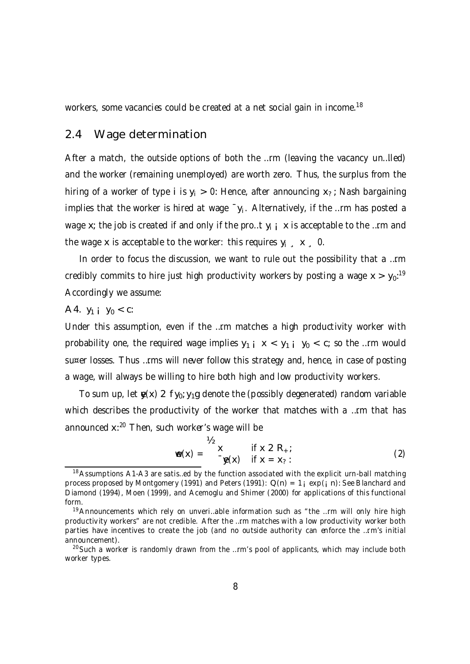workers, some vacancies could be created at a net social gain in income.<sup>18</sup>

#### 2.4 Wage determination

After a match, the outside options of both the …rm (leaving the vacancy un…lled) and the worker (remaining unemployed) are worth zero. Thus, the surplus from the hiring of a worker of type i is  $y_i > 0$ : Hence, after announcing  $x_i$ ; Nash bargaining implies that the worker is hired at wage  $\lceil y_i \rceil$ . Alternatively, if the ...rm has posted a wage x; the job is created if and only if the pro...t  $y_{i}$   $i$  x is acceptable to the ...rm and the wage x is acceptable to the worker: this requires  $y_i \times x = 0$ .

In order to focus the discussion, we want to rule out the possibility that a …rm credibly commits to hire just high productivity workers by posting a wage  $\mathrm{x}>\mathrm{y_0:}^{19}$ Accordingly we assume:

#### A4.  $y_1$  **i**  $y_0 < c$ :

Under this assumption, even if the …rm matches a high productivity worker with probability one, the required wage implies  $y_{1}$   $\mu$   $\times$   $y_{1}$   $\mu$   $\mu$   $\le$  c; so the ... rm would su¤er losses. Thus …rms will never follow this strategy and, hence, in case of posting a wage, will always be willing to hire both high and low productivity workers.

To sum up, let  $\mathbf{e}(x)$  2 fy<sub>0</sub>; y<sub>1</sub>g denote the (possibly degenerated) random variable which describes the productivity of the worker that matches with a ... rm that has announced x:<sup>20</sup> Then, such worker's wage will be

$$
\mathbf{w}(x) = \begin{cases} 72 & \text{if } x \neq R_+; \\ -\mathbf{w}(x) & \text{if } x = x_? \end{cases}
$$
 (2)

 $18$ Assumptions A1-A3 are satis...ed by the function associated with the explicit urn-ball matching process proposed by Montgomery (1991) and Peters (1991):  $Q(n) = 1$ ; exp(; n): See Blanchard and Diamond (1994), Moen (1999), and Acemoglu and Shimer (2000) for applications of this functional form.

<sup>&</sup>lt;sup>19</sup> Announcements which rely on unveri...able information such as "the ...rm will only hire high productivity workers" are not credible. After the …rm matches with a low productivity worker both parties have incentives to create the job (and no outside authority can enforce the …rm's initial announcement).

<sup>&</sup>lt;sup>20</sup> Such a worker is randomly drawn from the ... rm's pool of applicants, which may include both worker types.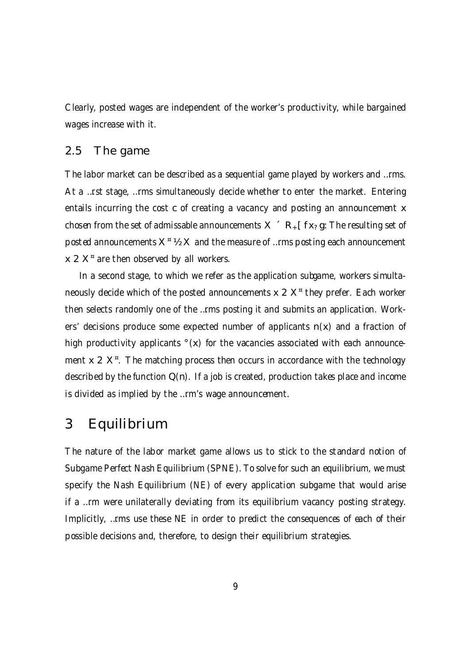Clearly, posted wages are independent of the worker's productivity, while bargained wages increase with it.

### 2.5 The game

The labor market can be described as a sequential game played by workers and …rms. At a …rst stage, …rms simultaneously decide whether to enter the market. Entering entails incurring the cost c of creating a vacancy and posting an announcement x chosen from the set of admissable announcements  $X \cap R$  [fx?g: The resulting set of posted announcements  $X^{\alpha}$  % X and the measure of ... rms posting each announcement  $x$  2  $X^*$  are then observed by all workers.

In a second stage, to which we refer as the application subgame, workers simultaneously decide which of the posted announcements  $x$  2  $\mathsf{X}^{\mathtt{m}}$  they prefer. Each worker then selects randomly one of the …rms posting it and submits an application. Workers' decisions produce some expected number of applicants  $n(x)$  and a fraction of high productivity applicants  $\circ$  (x) for the vacancies associated with each announcement  $x$  2  $X^{\alpha}$ . The matching process then occurs in accordance with the technology described by the function  $Q(n)$ . If a job is created, production takes place and income is divided as implied by the …rm's wage announcement.

## 3 Equilibrium

The nature of the labor market game allows us to stick to the standard notion of Subgame Perfect Nash Equilibrium (SPNE). To solve for such an equilibrium, we must specify the Nash Equilibrium (NE) of every application subgame that would arise if a …rm were unilaterally deviating from its equilibrium vacancy posting strategy. Implicitly, …rms use these NE in order to predict the consequences of each of their possible decisions and, therefore, to design their equilibrium strategies.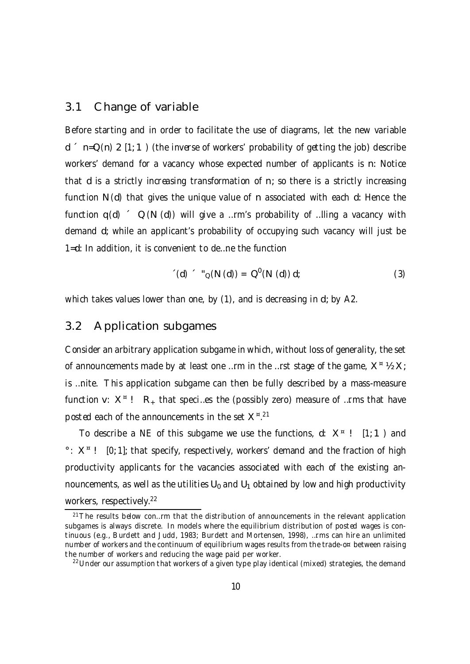#### 3.1 Change of variable

Before starting and in order to facilitate the use of diagrams, let the new variable  $d \in n=Q(n)$  2 [1; 1 ) (the inverse of workers' probability of getting the job) describe workers' demand for a vacancy whose expected number of applicants is n: Notice that d is a strictly increasing transformation of n; so there is a strictly increasing function N(d) that gives the unique value of n associated with each d: Hence the function  $q(d)$   $\subset Q(N(d))$  will give a ... rm's probability of ... Iling a vacancy with demand d; while an applicant's probability of occupying such vacancy will just be 1=d: In addition, it is convenient to de…ne the function

$$
f'(d) - f''_{Q}(N(d)) = Q^{0}(N(d))d;
$$
 (3)

which takes values lower than one, by (1), and is decreasing in d; by A2.

#### 3.2 Application subgames

Consider an arbitrary application subgame in which, without loss of generality, the set of announcements made by at least one …rm in the …rst stage of the game,  $X^* Y_2 X$ ; is …nite. This application subgame can then be fully described by a mass-measure function v:  $X^*$ ! R<sub>+</sub> that specimes the (possibly zero) measure of measure that have posted each of the announcements in the set  $X^{\alpha}$ .<sup>21</sup>

To describe a NE of this subgame we use the functions, d:  $X^{\alpha}$  ! [1; 1) and  $\degree$ :  $X^{\pi}$  ! [0; 1]; that specify, respectively, workers' demand and the fraction of high productivity applicants for the vacancies associated with each of the existing announcements, as well as the utilities  $U_0$  and  $U_1$  obtained by low and high productivity workers, respectively.<sup>22</sup>

 $21$ The results below con...rm that the distribution of announcements in the relevant application subgames is always discrete. In models where the equilibrium distribution of posted wages is continuous (e.g., Burdett and Judd, 1983; Burdett and Mortensen, 1998), …rms can hire an unlimited number of workers and the continuum of equilibrium wages results from the trade-o¤ between raising the number of workers and reducing the wage paid per worker.

 $22$  Under our assumption that workers of a given type play identical (mixed) strategies, the demand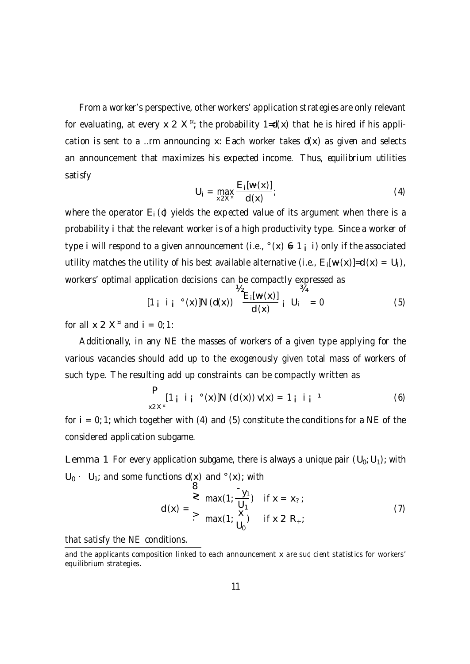From a worker's perspective, other workers' application strategies are only relevant for evaluating, at every  $x \nightharpoonup 2 X^*$ ; the probability 1=d(x) that he is hired if his application is sent to a ... rm announcing x: Each worker takes  $d(x)$  as given and selects an announcement that maximizes his expected income. Thus, equilibrium utilities satisfy

$$
U_i = \max_{x \geq X^u} \frac{E_i[w(x)]}{d(x)};
$$
 (4)

where the operator  $E_i(t)$  yields the expected value of its argument when there is a probability i that the relevant worker is of a high productivity type. Since a worker of type i will respond to a given announcement (i.e.,  $\circ$  (x)  $\theta$  1; i) only if the associated utility matches the utility of his best available alternative (i.e.,  $E_i[w(x)] = d(x) = U_i$ ), workers' optimal application decisions can be compactly expressed as

$$
[1 \, \mathbf{i} \, \mathbf{i} \, \mathbf{i} \, \mathbf{a} \, \mathbf{c}(x)] N \, (d(x)) \, \frac{v_2}{d(x)} \, \mathbf{i} \, U_1 = 0 \tag{5}
$$

for all  $x 2 X^{\alpha}$  and  $i = 0$ : 1:

Additionally, in any NE the masses of workers of a given type applying for the various vacancies should add up to the exogenously given total mass of workers of such type. The resulting add up constraints can be compactly written as

$$
\sum_{x \geq X^n} [1 \, \text{j} \, \text{i} \, \text{j} \, \text{°(x)}] \mathcal{N} \, (\text{d} \, (\text{x})) \, \mathcal{V}(\text{x}) = 1 \, \text{j} \, \text{i} \, \text{j} \, \text{°(6)} \tag{6}
$$

for  $i = 0$ ; 1; which together with (4) and (5) constitute the conditions for a NE of the considered application subgame.

Lemma 1 For every application subgame, there is always a unique pair  $(U_0; U_1)$ ; with  $U_0 \cdot U_1$ ; and some functions  $d(x)$  and  $\circ (x)$ ; with

d (x) = 
$$
\sum_{i=1}^{\infty} \max(1; \frac{y_i}{U_1})
$$
 if x = x<sub>2</sub>;  
and (x) =  $\sum_{i=1}^{\infty} \max(1; \frac{x}{U_0})$  if x 2 R<sub>+</sub>; (7)

that satisfy the NE conditions.

and the applicants composition linked to each announcement x are su¢cient statistics for workers' equilibrium strategies.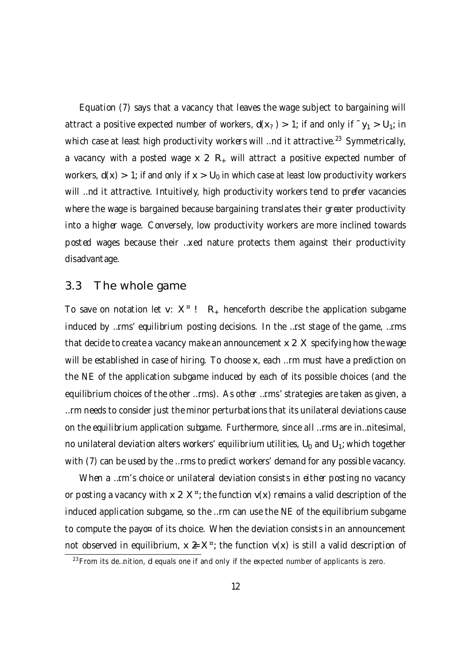Equation (7) says that a vacancy that leaves the wage subject to bargaining will attract a positive expected number of workers,  $d(x_{?}) > 1$ ; if and only if  $\lceil y_{1} > \mathsf{U}_{1} \rangle$  in which case at least high productivity workers will …nd it attractive.<sup>23</sup> Symmetrically, a vacancy with a posted wage  $x \ge R_+$  will attract a positive expected number of workers,  $d(x) > 1$ ; if and only if  $x > U_0$  in which case at least low productivity workers will ...nd it attractive. Intuitively, high productivity workers tend to prefer vacancies where the wage is bargained because bargaining translates their greater productivity into a higher wage. Conversely, low productivity workers are more inclined towards posted wages because their …xed nature protects them against their productivity disadvantage.

#### 3.3 The whole game

To save on notation let v:  $X^*$  ! R<sub>+</sub> henceforth describe the application subgame induced by …rms' equilibrium posting decisions. In the …rst stage of the game, …rms that decide to create a vacancy make an announcement x 2 X specifying how the wage will be established in case of hiring. To choose x, each ...rm must have a prediction on the NE of the application subgame induced by each of its possible choices (and the equilibrium choices of the other …rms). As other …rms' strategies are taken as given, a …rm needs to consider just the minor perturbations that its unilateral deviations cause on the equilibrium application subgame. Furthermore, since all …rms are in…nitesimal, no unilateral deviation alters workers' equilibrium utilities,  $\sf{U}_0$  and  $\sf{U}_1$ ; which together with (7) can be used by the …rms to predict workers' demand for any possible vacancy.

When a ... rm's choice or unilateral deviation consists in either posting no vacancy or posting a vacancy with  $x \; 2 \; X^{\alpha}$ ; the function  $v(x)$  remains a valid description of the induced application subgame, so the …rm can use the NE of the equilibrium subgame to compute the payo¤ of its choice. When the deviation consists in an announcement not observed in equilibrium,  $x \ncong X^{\alpha}$ ; the function  $v(x)$  is still a valid description of

 $23$  From its de...nition, d equals one if and only if the expected number of applicants is zero.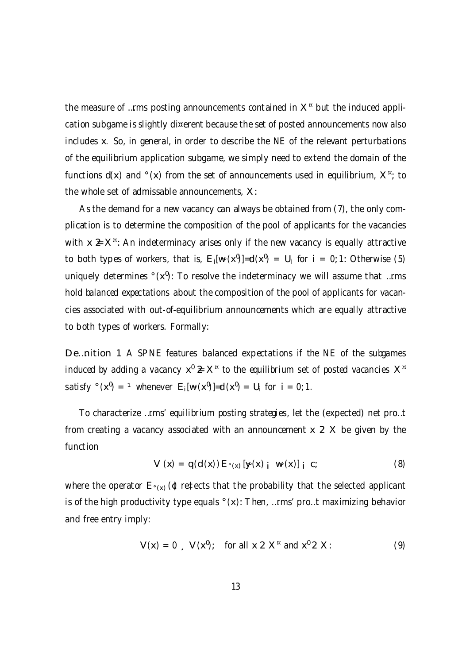the measure of …rms posting announcements contained in  $X^{\alpha}$  but the induced application subgame is slightly di¤erent because the set of posted announcements now also includes x. So, in general, in order to describe the NE of the relevant perturbations of the equilibrium application subgame, we simply need to extend the domain of the functions d(x) and  $^{\circ}$  (x) from the set of announcements used in equilibrium,  $\mathsf{X}^{\mathtt{a}}$ ; to the whole set of admissable announcements, X:

As the demand for a new vacancy can always be obtained from (7), the only complication is to determine the composition of the pool of applicants for the vacancies with  $x \ncong X^{\alpha}$ : An indeterminacy arises only if the new vacancy is equally attractive to both types of workers, that is,  $E_i[w(x^{\theta})]=d(x^{\theta}) = U_i$  for  $i = 0, 1$ : Otherwise (5) uniquely determines °(x<sup>0</sup>): To resolve the indeterminacy we will assume that …rms hold balanced expectations about the composition of the pool of applicants for vacancies associated with out-of-equilibrium announcements which are equally attractive to both types of workers. Formally:

De…nition 1 A SPNE features balanced expectations if the NE of the subgames induced by adding a vacancy  $x^0 \nightharpoonup X^*$  to the equilibrium set of posted vacancies  $X^*$ satisfy  $\degree(x^{\emptyset}) = 1$  whenever  $E_i[w(x^{\emptyset})]=d(x^{\emptyset}) = U_i$  for  $i = 0, 1$ .

To characterize …rms' equilibrium posting strategies, let the (expected) net pro…t from creating a vacancy associated with an announcement  $x \geq x$  be given by the function

$$
V (x) = q (d (x)) E°(x) [y (x) i w (x)] i c;
$$
 (8)

where the operator  $E_{\gamma(x)}$  (c) re‡ects that the probability that the selected applicant is of the high productivity type equals  $\circ$  (x): Then, ... rms' pro...t maximizing behavior and free entry imply:

$$
V(x) = 0 \t{,} V(x0)
$$
; for all x 2 X<sup>n</sup> and x<sup>0</sup> 2 X: (9)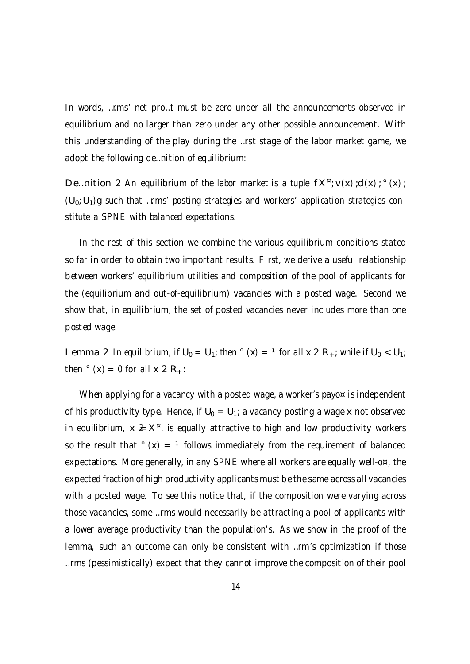In words, …rms' net pro…t must be zero under all the announcements observed in equilibrium and no larger than zero under any other possible announcement. With this understanding of the play during the …rst stage of the labor market game, we adopt the following de…nition of equilibrium:

De...nition 2 An equilibrium of the labor market is a tuple  $fX^{\alpha}$ ; v(x);d(x);<sup>o</sup>(x);  $(U_0; U_1)$ g such that …rms' posting strategies and workers' application strategies constitute a SPNE with balanced expectations.

In the rest of this section we combine the various equilibrium conditions stated so far in order to obtain two important results. First, we derive a useful relationship between workers' equilibrium utilities and composition of the pool of applicants for the (equilibrium and out-of-equilibrium) vacancies with a posted wage. Second we show that, in equilibrium, the set of posted vacancies never includes more than one posted wage.

Lemma 2 In equilibrium, if  $U_0 = U_1$ ; then  $\circ$  (x) =  $\circ$  for all x 2 R<sub>+</sub>; while if  $U_0 < U_1$ ; then  $\degree$  (x) = 0 for all x 2 R<sub>+</sub>:

When applying for a vacancy with a posted wage, a worker's payo $\alpha$  is independent of his productivity type. Hence, if  $U_0 = U_1$ ; a vacancy posting a wage x not observed in equilibrium,  $x \ncong X^{\alpha}$ , is equally attractive to high and low productivity workers so the result that  $\degree$  (x) =  $\degree$  follows immediately from the requirement of balanced expectations. More generally, in any SPNE where all workers are equally well-o¤, the expected fraction of high productivity applicants must be the same across all vacancies with a posted wage. To see this notice that, if the composition were varying across those vacancies, some …rms would necessarily be attracting a pool of applicants with a lower average productivity than the population's. As we show in the proof of the lemma, such an outcome can only be consistent with …rm's optimization if those …rms (pessimistically) expect that they cannot improve the composition of their pool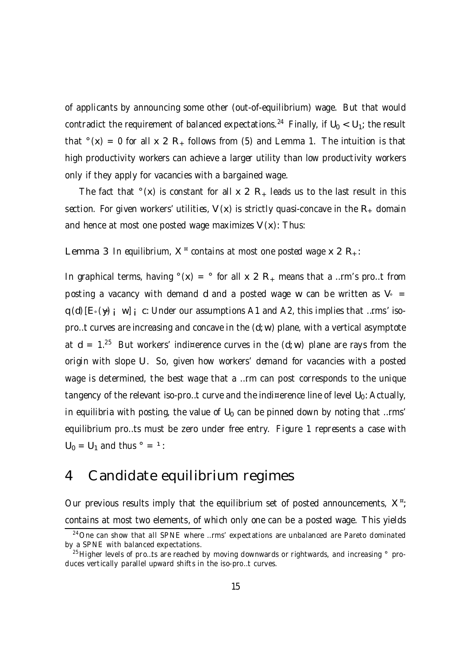of applicants by announcing some other (out-of-equilibrium) wage. But that would contradict the requirement of balanced expectations.<sup>24</sup> Finally, if  $\sf{U_0} < \sf{U_1};$  the result that  $\degree(x) = 0$  for all x 2 R<sub>+</sub> follows from (5) and Lemma 1. The intuition is that high productivity workers can achieve a larger utility than low productivity workers only if they apply for vacancies with a bargained wage.

The fact that  $\degree$ (x) is constant for all x 2 R<sub>+</sub> leads us to the last result in this section. For given workers' utilities,  $V(x)$  is strictly quasi-concave in the  $R_{+}$  domain and hence at most one posted wage maximizes  $V(x)$ : Thus:

Lemma 3 In equilibrium,  $X^{\#}$  contains at most one posted wage  $x \ge R_{+}$ :

In graphical terms, having  $\circ(x) = \circ$  for all x 2 R<sub>+</sub> means that a ... rm's pro...t from posting a vacancy with demand d and a posted wage w can be written as  $V_e$  =  $q$  (d)  $[E<sub>o</sub>(y)$   $_{i}$  w]  $_{i}$  c: Under our assumptions A1 and A2, this implies that …rms' isopro…t curves are increasing and concave in the (d; w) plane, with a vertical asymptote at d =  $1.^{25}$  But workers' indi¤erence curves in the (d; w) plane are rays from the origin with slope U. So, given how workers' demand for vacancies with a posted wage is determined, the best wage that a …rm can post corresponds to the unique tangency of the relevant iso-pro...t curve and the indi¤erence line of level  $U_0$ : Actually, in equilibria with posting, the value of  $U_0$  can be pinned down by noting that ... rms' equilibrium pro…ts must be zero under free entry. Figure 1 represents a case with  $U_0 = U_1$  and thus  $\degree = 1$ :

# 4 Candidate equilibrium regimes

Our previous results imply that the equilibrium set of posted announcements,  $X^{\alpha}$ ; contains at most two elements, of which only one can be a posted wage. This yields

<sup>&</sup>lt;sup>24</sup> One can show that all SPNE where ...rms' expectations are unbalanced are Pareto dominated by a SPNE with balanced expectations.

 $25$ Higher levels of pro...ts are reached by moving downwards or rightwards, and increasing  $\degree$  produces vertically parallel upward shifts in the iso-pro…t curves.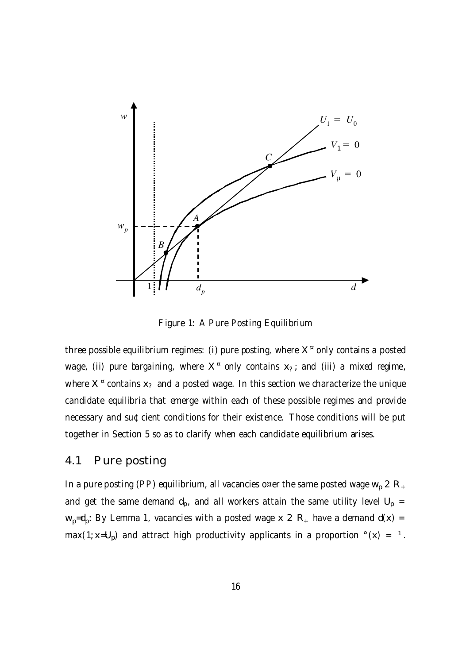

Figure 1: A Pure Posting Equilibrium

three possible equilibrium regimes: (i) pure posting, where  $X^{\alpha}$  only contains a posted wage, (ii) pure bargaining, where  $X^{\alpha}$  only contains  $x_{2}$ ; and (iii) a mixed regime, where  $\mathsf{X}^{\mathtt{w}}$  contains  $\mathsf{x}_{\mathsf{P}}$  and a posted wage. In this section we characterize the unique candidate equilibria that emerge within each of these possible regimes and provide necessary and su¢cient conditions for their existence. Those conditions will be put together in Section 5 so as to clarify when each candidate equilibrium arises.

### 4.1 Pure posting

In a pure posting (PP) equilibrium, all vacancies o¤er the same posted wage  $w_p 2 R_+$ and get the same demand  $d_p$ , and all workers attain the same utility level  $U_p =$  $w_{\sf p}$ =d<sub>p</sub>: By Lemma 1, vacancies with a posted wage x 2 R<sub>+</sub> have a demand d(x) = max(1; x=U<sub>p</sub>) and attract high productivity applicants in a proportion  $\degree$ (x) = 1.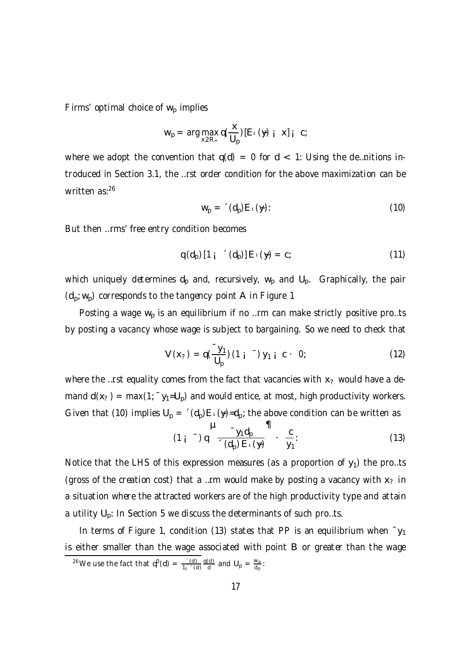Firms' optimal choice of  $W_p$  implies

$$
w_p = \arg \max_{x \ge R_+} q(\frac{x}{U_p}) [E_1(y) \mid x]_1 c;
$$

where we adopt the convention that  $q(d) = 0$  for  $d < 1$ : Using the de... nitions introduced in Section 3.1, the …rst order condition for the above maximization can be written as: 26

$$
W_p = (d_p)E_1(y): \qquad (10)
$$

But then …rms' free entry condition becomes

$$
q(d_p)[1 \t i \t (d_p)] E_1(y) = c;
$$
\n(11)

which uniquely determines  $d_p$  and, recursively,  $w_p$  and  $U_p$ . Graphically, the pair  $(d_p; w_p)$  corresponds to the tangency point A in Figure 1

Posting a wage  $w_p$  is an equilibrium if no ... rm can make strictly positive pro...ts by posting a vacancy whose wage is subject to bargaining. So we need to check that

$$
V(x_7) = q(\frac{y_1}{U_p})(1 - y_1) + c \cdot 0;
$$
 (12)

where the …rst equality comes from the fact that vacancies with  $x<sub>2</sub>$  would have a demand  $d(x_7) = max(1, -y_1=U_p)$  and would entice, at most, high productivity workers. Given that (10) implies  $\sf{U_p} = \sf{f(d_p)E_1(y)=d_p};$  the above condition can be written as

$$
(1_{i} - ) q \frac{\mu_{1}^{2} Q_{p}}{(d_{p}) E_{1}(y)} \frac{1!}{(d_{p}) \cdots (d_{p})} \tag{13}
$$

Notice that the LHS of this expression measures (as a proportion of  $y_1$ ) the pro...ts (gross of the creation cost) that a …rm would make by posting a vacancy with  $x<sub>2</sub>$  in a situation where the attracted workers are of the high productivity type and attain a utility  $U_p$ : In Section 5 we discuss the determinants of such pro...ts.

In terms of Figure 1, condition (13) states that PP is an equilibrium when  $\bar{y}_1$ is either smaller than the wage associated with point B or greater than the wage

<sup>&</sup>lt;sup>26</sup> We use the fact that  $q^0$  (d) =  $\frac{q}{1 + q}$ 1¡´(d) q(d)  $\frac{d}{d}$  and  $U_p = \frac{w_p}{d_p}$ <u>wp</u>:<br>dp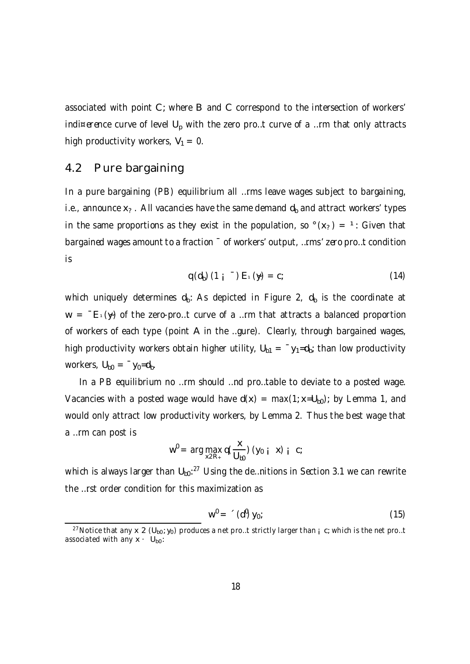associated with point C; where B and C correspond to the intersection of workers' indi¤erence curve of level  $U_p$  with the zero pro...t curve of a ... rm that only attracts high productivity workers,  $V_1 = 0$ .

### 4.2 Pure bargaining

In a pure bargaining (PB) equilibrium all …rms leave wages subject to bargaining, i.e., announce  $x_2$ . All vacancies have the same demand  $d_b$  and attract workers' types in the same proportions as they exist in the population, so  $\degree$ (x?) = <sup>1</sup>: Given that bargained wages amount to a fraction  $\bar{\ }$  of workers' output, ... rms' zero pro...t condition is

$$
q(d_b) (1 i^{-}) E_1(y) = c;
$$
 (14)

which uniquely determines d $_{\rm b}$ : As depicted in Figure 2, d $_{\rm b}$  is the coordinate at  $w = E_1(y)$  of the zero-pro…t curve of a …rm that attracts a balanced proportion of workers of each type (point A in the …gure). Clearly, through bargained wages, high productivity workers obtain higher utility,  $U_{b1} = -y_1 = d_{b}$ ; than low productivity workers,  $U_{b0} = -y_0 = d_b$ .

In a PB equilibrium no …rm should …nd pro…table to deviate to a posted wage. Vacancies with a posted wage would have  $d(x) = max(1; x=U_{b0})$ ; by Lemma 1, and would only attract low productivity workers, by Lemma 2. Thus the best wage that a …rm can post is

$$
w^0 = \arg\max_{x \ge R_+} q(\frac{x}{U_{b0}}) (y_{0i} \mid x) i \text{ c};
$$

which is always larger than  $\mathsf{U_{\mathrm{bo}}}$ : $^{27}$  Using the de…nitions in Section 3.1 we can rewrite the …rst order condition for this maximization as

$$
w^0 = (d^0) y_0; \tag{15}
$$

<sup>&</sup>lt;sup>27</sup> Notice that any x 2 (U<sub>b0</sub>; y<sub>0</sub>) produces a net pro...t strictly larger than  $\epsilon$  c; which is the net pro...t associated with any  $x \cdot U_{h0}$ :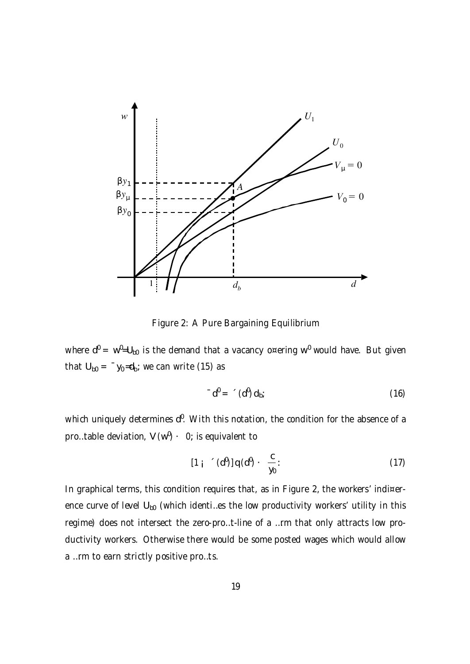

Figure 2: A Pure Bargaining Equilibrium

where  $\mathtt{d}^{\scriptscriptstyle\mathsf{0}} = \mathtt{W}^{\scriptscriptstyle\mathsf{0}}$   $\blacksquare$  is the demand that a vacancy o¤ering  $\mathtt{W}^{\scriptscriptstyle\mathsf{0}}$  would have. But given that  $U_{b0} = -y_0 = d_b$ ; we can write (15) as

$$
-d^0 = (d^0) d_b; \qquad (16)
$$

which uniquely determines  $\mathsf{d}^\mathsf{0}.$  With this notation, the condition for the absence of a  $\mathsf{pro\ldots}$ table deviation, V  $(\mathsf{w}^{\scriptscriptstyle\mathsf{0}})\cdot\;\;\mathsf{0};$  is equivalent to

$$
[1 \, \mathsf{i} \, (d^0)] \, q \, (d^0) \cdot \frac{c}{y_0} \, . \tag{17}
$$

In graphical terms, this condition requires that, as in Figure 2, the workers' indi¤erence curve of level  $U_{b0}$  (which identimes the low productivity workers' utility in this regime) does not intersect the zero-pro…t-line of a …rm that only attracts low productivity workers. Otherwise there would be some posted wages which would allow a …rm to earn strictly positive pro…ts.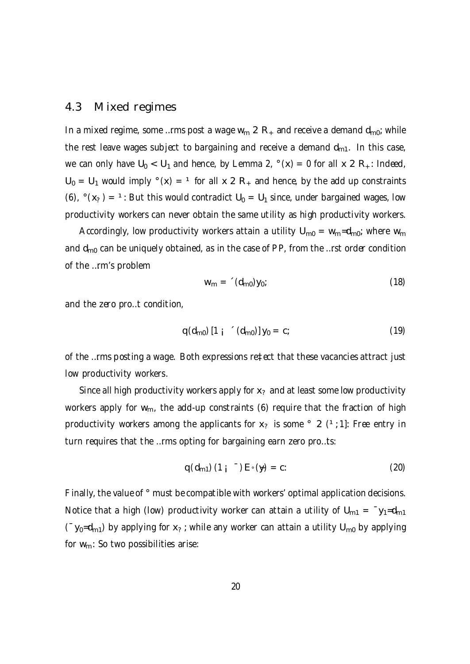#### 4.3 Mixed regimes

In a mixed regime, some ...rms post a wage  $w_m$  2  $R_+$  and receive a demand  $d_{m0}$ ; while the rest leave wages subject to bargaining and receive a demand  $d_{m1}$ . In this case, we can only have  $U_0 < U_1$  and hence, by Lemma 2,  $\degree(x) = 0$  for all x 2 R<sub>+</sub>: Indeed,  $U_0 = U_1$  would imply  $\degree(x) = 1$  for all x 2 R<sub>+</sub> and hence, by the add up constraints (6),  $\degree$ (x<sub>2</sub>) = <sup>1</sup>: But this would contradict  $U_0 = U_1$  since, under bargained wages, low productivity workers can never obtain the same utility as high productivity workers.

Accordingly, low productivity workers attain a utility  $\sf{U}_{{\sf m}0}$  =  $\sf{w}_{{\sf m}}$ =d $_{{\sf m}0}$ ; where  $\sf{w}_{{\sf m}}$ and  $d_{m0}$  can be uniquely obtained, as in the case of PP, from the ... rst order condition of the …rm's problem

$$
w_m = (d_{m0})y_0 \tag{18}
$$

and the zero pro…t condition,

$$
q(d_{m0}) [1 \t{1} (d_{m0})] y_0 = c;
$$
 (19)

of the …rms posting a wage. Both expressions re‡ect that these vacancies attract just low productivity workers.

Since all high productivity workers apply for  $x<sub>2</sub>$  and at least some low productivity workers apply for  $w_m$ , the add-up constraints (6) require that the fraction of high productivity workers among the applicants for  $x<sub>2</sub>$  is some  $\degree$  2 ( $\degree$ ; 1]: Free entry in turn requires that the …rms opting for bargaining earn zero pro…ts:

$$
q(d_{m1}) (1_i - E \cdot (y) = c: \qquad (20)
$$

Finally, the value of ° must be compatible with workers' optimal application decisions. Notice that a high (low) productivity worker can attain a utility of  $U_{m1} = -y_1 = d_{m1}$ ( $y_0=d_{m1}$ ) by applying for  $x_2$ ; while any worker can attain a utility U<sub>m0</sub> by applying for  $w_m$ : So two possibilities arise: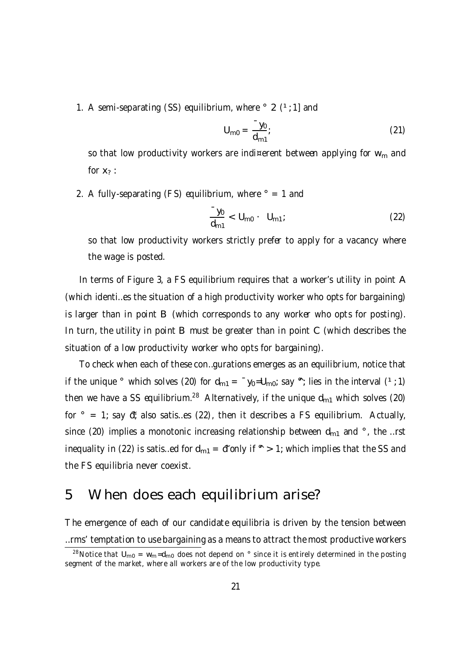1. A semi-separating (SS) equilibrium, where  $\degree$  2 ( $\degree$ ; 1] and

$$
U_{m0} = \frac{-y_0}{d_{m1}}.
$$
 (21)

so that low productivity workers are indi¤erent between applying for  $w_m$  and for  $x_{2}$ :

2. A fully-separating (FS) equilibrium, where  $\degree$  = 1 and

$$
\frac{-y_0}{d_{m1}} < U_{m0} \cdot U_{m1}; \tag{22}
$$

so that low productivity workers strictly prefer to apply for a vacancy where the wage is posted.

In terms of Figure 3, a FS equilibrium requires that a worker's utility in point A (which identi…es the situation of a high productivity worker who opts for bargaining) is larger than in point B (which corresponds to any worker who opts for posting). In turn, the utility in point B must be greater than in point C (which describes the situation of a low productivity worker who opts for bargaining).

To check when each of these con…gurations emerges as an equilibrium, notice that if the unique  $\degree$  which solves (20) for  $d_{m1} = \degree$  y<sub>0</sub>= $U_{m0}$ ; say  $\degree$ ; lies in the interval ( $\degree$ ; 1) then we have a SS equilibrium.<sup>28</sup> Alternatively, if the unique  $d_{m1}$  which solves (20) for  $\degree$  = 1; say đ; also satis...es (22), then it describes a FS equilibrium. Actually, since (20) implies a monotonic increasing relationship between  $d_{m1}$  and  $\degree$ , the ...rst inequality in (22) is satis...ed for  $d_{m1} = d$  only if  $\alpha > 1$ ; which implies that the SS and the FS equilibria never coexist.

## 5 When does each equilibrium arise?

The emergence of each of our candidate equilibria is driven by the tension between …rms' temptation to use bargaining as a means to attract the most productive workers

<sup>&</sup>lt;sup>28</sup> Notice that  $U_{m0} = W_{m} = d_{m0}$  does not depend on  $\degree$  since it is entirely determined in the posting segment of the market, where all workers are of the low productivity type.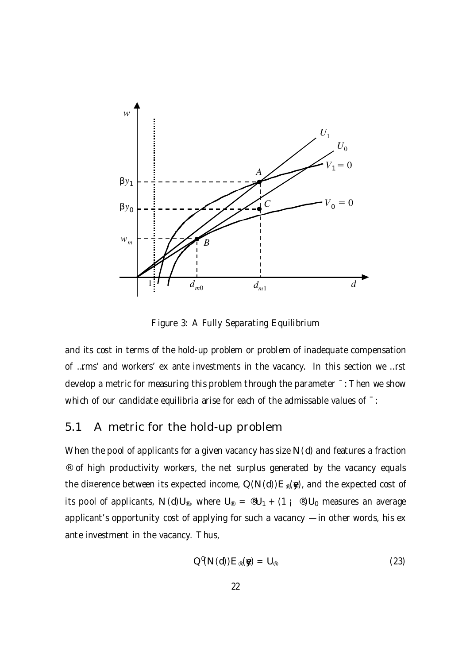

Figure 3: A Fully Separating Equilibrium

and its cost in terms of the hold-up problem or problem of inadequate compensation of …rms' and workers' ex ante investments in the vacancy. In this section we …rst develop a metric for measuring this problem through the parameter ¯: Then we show which of our candidate equilibria arise for each of the admissable values of  $\bar{ }$ :

### 5.1 A metric for the hold-up problem

When the pool of applicants for a given vacancy has size N(d) and features a fraction ® of high productivity workers, the net surplus generated by the vacancy equals the di¤erence between its expected income,  $Q(N(d))E_{\infty}(\varphi)$ , and the expected cost of its pool of applicants, N(d)U®, where U® =  $\mathbb{O}U_1 + (1 \cdot \mathbb{O})U_0$  measures an average applicant's opportunity cost of applying for such a vacancy —in other words, his ex ante investment in the vacancy. Thus,

$$
Q^{\theta}(N(d))E_{\circledast}(\mathbf{g}) = U_{\circledast}
$$
 (23)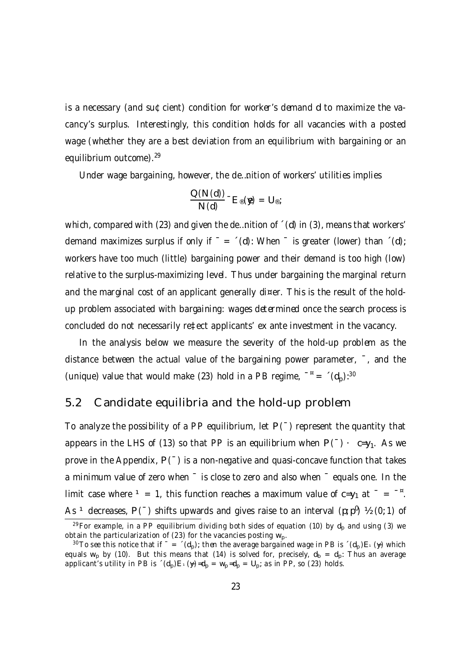is a necessary (and su¢cient) condition for worker's demand d to maximize the vacancy's surplus. Interestingly, this condition holds for all vacancies with a posted wage (whether they are a best deviation from an equilibrium with bargaining or an equilibrium outcome).<sup>29</sup>

Under wage bargaining, however, the de…nition of workers' utilities implies

$$
\frac{Q(N(d))}{N(d)} - E_{\mathfrak{B}}(\mathbf{y}) = U_{\mathfrak{B}};
$$

which, compared with (23) and given the de...nition of  $(d)$  in (3), means that workers' demand maximizes surplus if only if  $=$   $(d)$ : When  $=$  is greater (lower) than  $(d)$ ; workers have too much (little) bargaining power and their demand is too high (low) relative to the surplus-maximizing level. Thus under bargaining the marginal return and the marginal cost of an applicant generally di¤er. This is the result of the holdup problem associated with bargaining: wages determined once the search process is concluded do not necessarily re‡ect applicants' ex ante investment in the vacancy.

In the analysis below we measure the severity of the hold-up problem as the distance between the actual value of the bargaining power parameter, ¯, and the (unique) value that would make (23) hold in a PB regime,  $\overline{a} = (d_p)^{30}$ 

### 5.2 Candidate equilibria and the hold-up problem

To analyze the possibility of a PP equilibrium, let  $P(\bar{\ })$  represent the quantity that appears in the LHS of (13) so that PP is an equilibrium when  $P(\bar{\ })\cdot$   $\,$ c=y<sub>1</sub>. As we prove in the Appendix,  $P(\bar{\ })$  is a non-negative and quasi-concave function that takes a minimum value of zero when  $\overline{\phantom{a}}$  is close to zero and also when  $\overline{\phantom{a}}$  equals one. In the limit case where  $1 = 1$ , this function reaches a maximum value of c=y<sub>1</sub> at  $\bar{ }$  =  $\bar{ }$ As <sup>1</sup> decreases, P(<sup>-</sup>) shifts upwards and gives raise to an interval (p;  $p^0$ ) ½ (0; 1) of

<sup>&</sup>lt;sup>29</sup> For example, in a PP equilibrium dividing both sides of equation (10) by  $d_p$  and using (3) we obtain the particularization of (23) for the vacancies posting  $w_p$ .

<sup>&</sup>lt;sup>30</sup>To see this notice that if  $\bar{ } = (d_p)$ ; then the average bargained wage in PB is  $(d_p)E_1(y)$  which equals w<sub>p</sub> by (10). But this means that (14) is solved for, precisely,  $d_b = d_p$ . Thus an average applicant's utility in PB is  $'(d_p)E_1(y)=d_p = w_p =d_p = U_p$ ; as in PP, so (23) holds.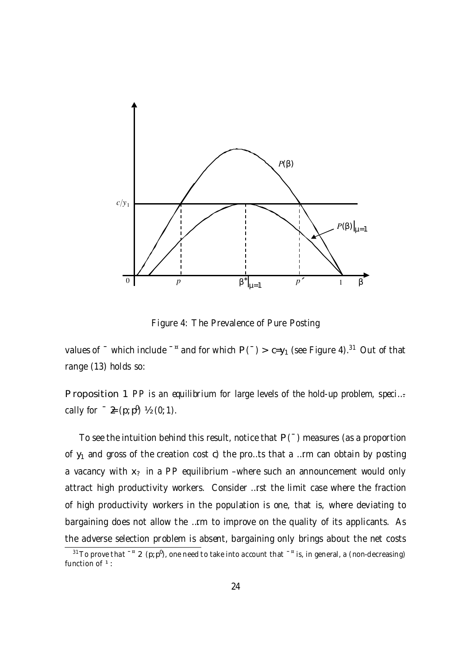

Figure 4: The Prevalence of Pure Posting

values of  $\bar{\ }$  which include  $\bar{\ }$  and for which P( $\bar{\ }$ )  $>$  c=y<sub>1</sub> (see Figure 4).<sup>31</sup> Out of that range (13) holds so:

Proposition 1 PP is an equilibrium for large levels of the hold-up problem, speci...cally for  $-2(p; p^0)$  ½  $(0; 1)$ .

To see the intuition behind this result, notice that  $P(\bar{\ })$  measures (as a proportion of  $y_1$  and gross of the creation cost c) the pro...ts that a ... rm can obtain by posting a vacancy with  $x<sub>2</sub>$  in a PP equilibrium –where such an announcement would only attract high productivity workers. Consider …rst the limit case where the fraction of high productivity workers in the population is one, that is, where deviating to bargaining does not allow the …rm to improve on the quality of its applicants. As the adverse selection problem is absent, bargaining only brings about the net costs

<sup>&</sup>lt;sup>31</sup> To prove that  $\overline{a}$   $=$  2 (p; p<sup>0</sup>), one need to take into account that  $\overline{a}$  is, in general, a (non-decreasing) function of  $1$ :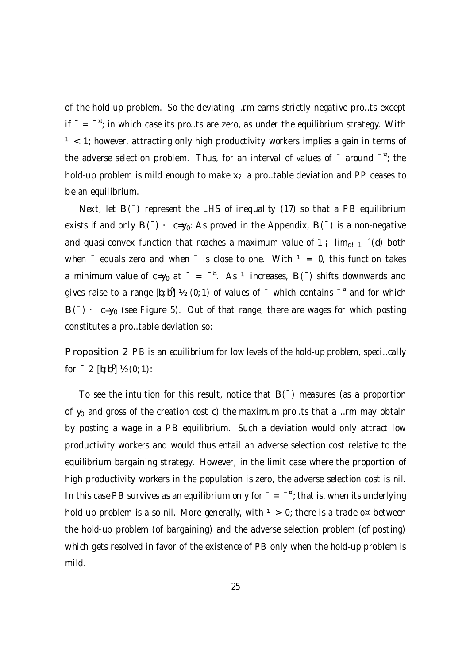of the hold-up problem. So the deviating …rm earns strictly negative pro…ts except if  $\bar{ }$  =  $\bar{ }$  =  $\bar{ }$ ; in which case its pro…ts are zero, as under the equilibrium strategy. With  $1 < 1$ ; however, attracting only high productivity workers implies a gain in terms of the adverse selection problem. Thus, for an interval of values of  $\bar{ }$  around  $\bar{ }$ ; the hold-up problem is mild enough to make  $x<sub>2</sub>$  a pro...table deviation and PP ceases to be an equilibrium.

Next, let  $B($ <sup>-</sup>) represent the LHS of inequality (17) so that a PB equilibrium exists if and only  $B(\bar{\ })\cdot \;$  c=y<sub>0</sub>: As proved in the Appendix,  $B(\bar{\ })$  is a non-negative and quasi-convex function that reaches a maximum value of 1;  $\lim_{d \to 1}$  (d) both when  $\bar{ }$  equals zero and when  $\bar{ }$  is close to one. With  $\bar{ }$  = 0, this function takes a minimum value of c=y<sub>0</sub> at  $\bar{z} = \bar{z}^*$ . As <sup>1</sup> increases, B( $\bar{z}$ ) shifts downwards and gives raise to a range  $[b; b^{\text{II}}]$  ½  $(0; 1)$  of values of  $\bar{ }$  which contains  $\bar{ }$  and for which  $B($ <sup>-</sup>)  $\cdot$  c=y<sub>0</sub> (see Figure 5). Out of that range, there are wages for which posting constitutes a pro…table deviation so:

Proposition 2 PB is an equilibrium for low levels of the hold-up problem, speci…cally for  $- 2 [b; b<sup>0</sup>]$  ½  $(0; 1)$ :

To see the intuition for this result, notice that  $B($ <sup>-</sup>) measures (as a proportion of  $y_0$  and gross of the creation cost c) the maximum pro…ts that a …rm may obtain by posting a wage in a PB equilibrium. Such a deviation would only attract low productivity workers and would thus entail an adverse selection cost relative to the equilibrium bargaining strategy. However, in the limit case where the proportion of high productivity workers in the population is zero, the adverse selection cost is nil. In this case PB survives as an equilibrium only for  $\bar{z} = \bar{z}$ ; that is, when its underlying hold-up problem is also nil. More generally, with  $1 > 0$ ; there is a trade-o¤ between the hold-up problem (of bargaining) and the adverse selection problem (of posting) which gets resolved in favor of the existence of PB only when the hold-up problem is mild.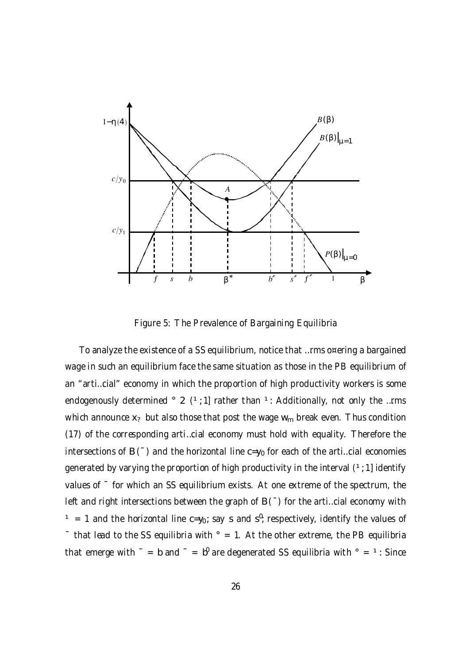

Figure 5: The Prevalence of Bargaining Equilibria

To analyze the existence of a SS equilibrium, notice that …rms o¤ering a bargained wage in such an equilibrium face the same situation as those in the PB equilibrium of an "arti…cial" economy in which the proportion of high productivity workers is some endogenously determined  $\degree$  2 ( $\degree$ ; 1] rather than  $\degree$ : Additionally, not only the ...rms which announce  $x<sub>2</sub>$  but also those that post the wage w<sub>m</sub> break even. Thus condition (17) of the corresponding arti…cial economy must hold with equality. Therefore the intersections of  $B($ <sup>-</sup>) and the horizontal line  $c=y_0$  for each of the arti…cial economies generated by varying the proportion of high productivity in the interval  $(1; 1]$  identify values of  $\bar{ }$  for which an SS equilibrium exists. At one extreme of the spectrum, the left and right intersections between the graph of  $B($ <sup>-</sup>) for the arti...cial economy with  $1 = 1$  and the horizontal line c=y<sub>0</sub>; say s and s<sup>0</sup>; respectively, identify the values of  $\overline{a}$  that lead to the SS equilibria with  $\overline{a}$  = 1. At the other extreme, the PB equilibria that emerge with  $^-$  = b and  $^-$  = b<sup>0</sup> are degenerated SS equilibria with  $\degree$  = 1: Since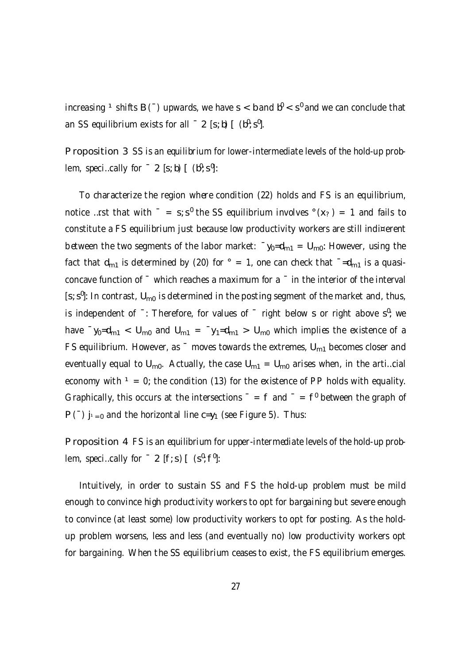increasing 1 shifts B( $\bar{\ }$ ) upwards, we have s  $<$  b and b $^{\prime\prime}$   $<$  s $^{\prime\prime}$  and we can conclude that an SS equilibrium exists for all  $\bar{a}$   $2$  [s; b) [ (b<sup>o</sup>; s<sup>o</sup>].

Proposition 3 SS is an equilibrium for lower-intermediate levels of the hold-up problem, speci...cally for  $-$  2 [s; b) [ ( $b^0$ ; s<sup>o</sup>]:

To characterize the region where condition (22) holds and FS is an equilibrium, notice …rst that with  $\bar{ }$  = s;s $^{\text{0}}$  the SS equilibrium involves  $^{\circ}(x_{?})$  = 1 and fails to constitute a FS equilibrium just because low productivity workers are still indi¤erent between the two segments of the labor market:  $\bar{y}_{0} = d_{m1} = U_{m0}$ : However, using the fact that d<sub>m1</sub> is determined by (20) for  $^{\circ}$  = 1, one can check that  $^{-}$ =d<sub>m1</sub> is a quasiconcave function of  $\bar{ }$  which reaches a maximum for a  $\bar{ }$  in the interior of the interval [s; s $^{\mathsf{g}}$ ]: In contrast, U<sub>m0</sub> is determined in the posting segment of the market and, thus, is independent of  $\bar{\ }$ : Therefore, for values of  $\bar{\ }$  right below s or right above s $^{\mathfrak{g}}$ ; we have  $\bar{y}_{0}=d_{m1}$  < U<sub>m0</sub> and U<sub>m1</sub> =  $\bar{y}_{1}=d_{m1}$  > U<sub>m0</sub> which implies the existence of a FS equilibrium. However, as  $\overline{\ }$  moves towards the extremes,  $U_{m1}$  becomes closer and eventually equal to U<sub>m0</sub>. Actually, the case U<sub>m1</sub> = U<sub>m0</sub> arises when, in the arti…cial economy with  $1 = 0$ ; the condition (13) for the existence of PP holds with equality. Graphically, this occurs at the intersections  $^-$  = f and  $^-$  =  $f^{\phi}$  between the graph of  $P(\bar{\ })$  j<sub>1=0</sub> and the horizontal line c=y<sub>1</sub> (see Figure 5). Thus:

Proposition 4 FS is an equilibrium for upper-intermediate levels of the hold-up problem, speci...cally for  $\bar{2}$  [f; s) [ (s<sup>0</sup>; f<sup>0</sup>]:

Intuitively, in order to sustain SS and FS the hold-up problem must be mild enough to convince high productivity workers to opt for bargaining but severe enough to convince (at least some) low productivity workers to opt for posting. As the holdup problem worsens, less and less (and eventually no) low productivity workers opt for bargaining. When the SS equilibrium ceases to exist, the FS equilibrium emerges.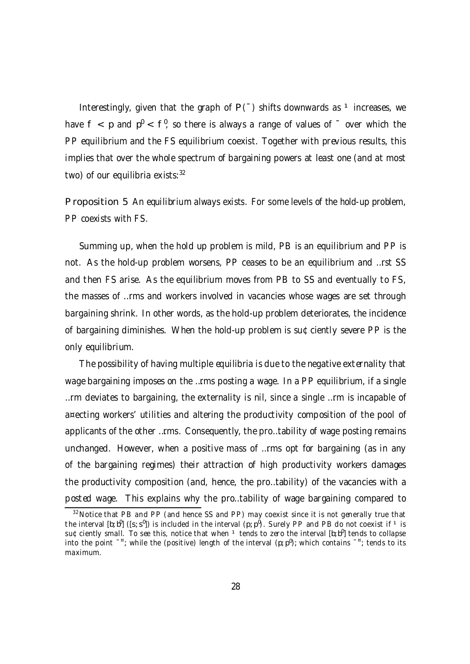Interestingly, given that the graph of  $P(\bar{\ })$  shifts downwards as <sup>1</sup> increases, we have f  $<$  p and  $\mathsf{p}^{\mathsf{U}} <$  f $^{\mathsf{U}}$ , so there is always a range of values of  $^-$  over which the PP equilibrium and the FS equilibrium coexist. Together with previous results, this implies that over the whole spectrum of bargaining powers at least one (and at most two) of our equilibria exists:<sup>32</sup>

Proposition 5 An equilibrium always exists. For some levels of the hold-up problem, PP coexists with FS.

Summing up, when the hold up problem is mild, PB is an equilibrium and PP is not. As the hold-up problem worsens, PP ceases to be an equilibrium and …rst SS and then FS arise. As the equilibrium moves from PB to SS and eventually to FS, the masses of …rms and workers involved in vacancies whose wages are set through bargaining shrink. In other words, as the hold-up problem deteriorates, the incidence of bargaining diminishes. When the hold-up problem is su¢ciently severe PP is the only equilibrium.

The possibility of having multiple equilibria is due to the negative externality that wage bargaining imposes on the …rms posting a wage. In a PP equilibrium, if a single …rm deviates to bargaining, the externality is nil, since a single …rm is incapable of a¤ecting workers' utilities and altering the productivity composition of the pool of applicants of the other …rms. Consequently, the pro…tability of wage posting remains unchanged. However, when a positive mass of …rms opt for bargaining (as in any of the bargaining regimes) their attraction of high productivity workers damages the productivity composition (and, hence, the pro…tability) of the vacancies with a posted wage. This explains why the pro…tability of wage bargaining compared to

 $32$  Notice that PB and PP (and hence SS and PP) may coexist since it is not generally true that the interval [b; bʰ] ([s; sʰ]) is included in the interval (p; pʰ). Surely PP and PB do not coexist if  $\,$  i is su¢ciently small. To see this, notice that when  $^{\text{1}}$  tends to zero the interval [b;bʰ] tends to collapse into the point  $^{-n}$ ; while the (positive) length of the interval (p;  ${\sf p}^{\scriptscriptstyle 0}$ ); which contains  $^{-n}$ ; tends to its maximum.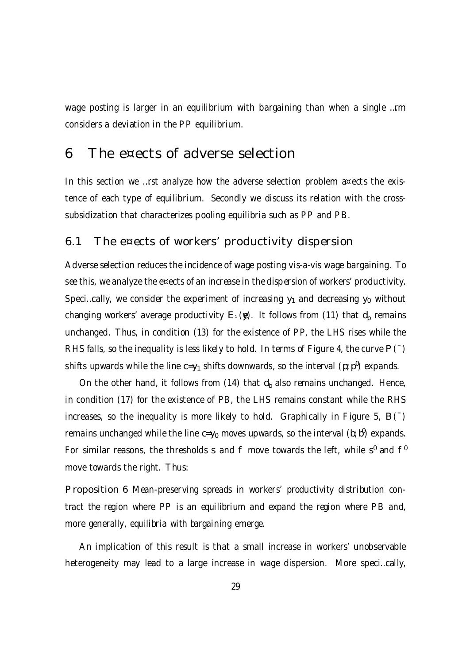wage posting is larger in an equilibrium with bargaining than when a single …rm considers a deviation in the PP equilibrium.

## 6 The e¤ects of adverse selection

In this section we ... rst analyze how the adverse selection problem  $a\infty$  ects the existence of each type of equilibrium. Secondly we discuss its relation with the crosssubsidization that characterizes pooling equilibria such as PP and PB.

#### 6.1 The e¤ects of workers' productivity dispersion

Adverse selection reduces the incidence of wage posting vis-a-vis wage bargaining. To see this, we analyze the e¤ects of an increase in the dispersion of workers' productivity. Speci...cally, we consider the experiment of increasing  $y_1$  and decreasing  $y_0$  without changing workers' average productivity  $E_1(\mathbf{y})$ . It follows from (11) that  $d_p$  remains unchanged. Thus, in condition (13) for the existence of PP, the LHS rises while the RHS falls, so the inequality is less likely to hold. In terms of Figure 4, the curve  $P($ <sup>-</sup>) shifts upwards while the line c=y $_1$  shifts downwards, so the interval (p;  $\mathsf{p}^{\mathsf{0}}$ ) expands.

On the other hand, it follows from (14) that  $d_b$  also remains unchanged. Hence, in condition (17) for the existence of PB, the LHS remains constant while the RHS increases, so the inequality is more likely to hold. Graphically in Figure 5,  $B($ <sup>-</sup>) remains unchanged while the line c=y $_{0}$  moves upwards, so the interval (b;  $\mathfrak{b}^{\mathfrak{b}}$ ) expands. For similar reasons, the thresholds s and f move towards the left, while s<sup>0</sup> and  $f^0$ move towards the right. Thus:

Proposition 6 Mean-preserving spreads in workers' productivity distribution contract the region where PP is an equilibrium and expand the region where PB and, more generally, equilibria with bargaining emerge.

An implication of this result is that a small increase in workers' unobservable heterogeneity may lead to a large increase in wage dispersion. More speci…cally,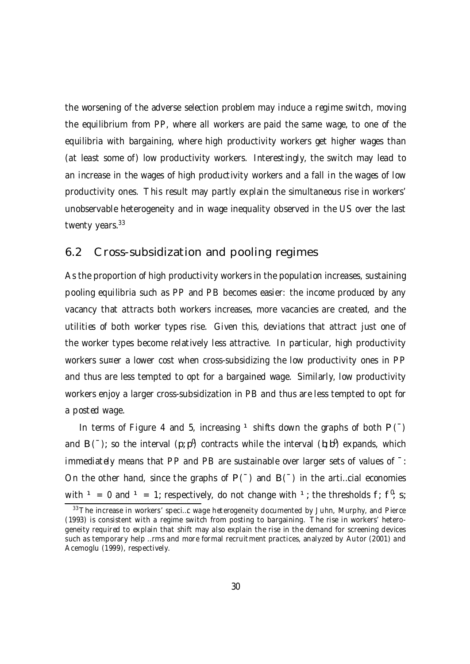the worsening of the adverse selection problem may induce a regime switch, moving the equilibrium from PP, where all workers are paid the same wage, to one of the equilibria with bargaining, where high productivity workers get higher wages than (at least some of) low productivity workers. Interestingly, the switch may lead to an increase in the wages of high productivity workers and a fall in the wages of low productivity ones. This result may partly explain the simultaneous rise in workers' unobservable heterogeneity and in wage inequality observed in the US over the last twenty years.<sup>33</sup>

### 6.2 Cross-subsidization and pooling regimes

As the proportion of high productivity workers in the population increases, sustaining pooling equilibria such as PP and PB becomes easier: the income produced by any vacancy that attracts both workers increases, more vacancies are created, and the utilities of both worker types rise. Given this, deviations that attract just one of the worker types become relatively less attractive. In particular, high productivity workers su¤er a lower cost when cross-subsidizing the low productivity ones in PP and thus are less tempted to opt for a bargained wage. Similarly, low productivity workers enjoy a larger cross-subsidization in PB and thus are less tempted to opt for a posted wage.

In terms of Figure 4 and 5, increasing <sup>1</sup> shifts down the graphs of both  $P(\bar{\ })$ and B( $\bar{ }$ ); so the interval (p;  $p^{\scriptscriptstyle\text{0}}$ ) contracts while the interval (b;  $b^{\scriptscriptstyle\text{0}}$ ) expands, which immediately means that PP and PB are sustainable over larger sets of values of ¯: On the other hand, since the graphs of  $P(\bar{\ })$  and  $B(\bar{\ })$  in the arti...cial economies with  $1 = 0$  and  $1 = 1$ ; respectively, do not change with  $1$ ; the thresholds f; f<sup>0</sup>; s;

 $33$ The increase in workers' speci...c wage heterogeneity documented by Juhn, Murphy, and Pierce (1993) is consistent with a regime switch from posting to bargaining. The rise in workers' heterogeneity required to explain that shift may also explain the rise in the demand for screening devices such as temporary help …rms and more formal recruitment practices, analyzed by Autor (2001) and Acemoglu (1999), respectively.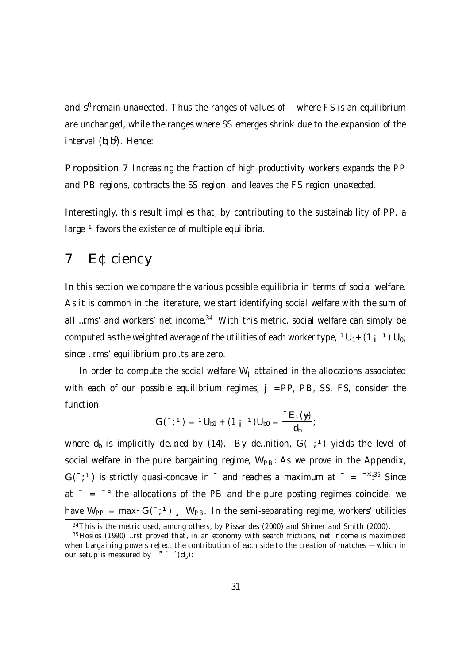and s<sup>®</sup> remain una¤ected. Thus the ranges of values of  $\bar{\ }$  where FS is an equilibrium are unchanged, while the ranges where SS emerges shrink due to the expansion of the interval (b; b 0 ). Hence:

Proposition 7 Increasing the fraction of high productivity workers expands the PP and PB regions, contracts the SS region, and leaves the FS region una¤ected.

Interestingly, this result implies that, by contributing to the sustainability of PP, a large<sup>1</sup> favors the existence of multiple equilibria.

# 7 E¢ciency

In this section we compare the various possible equilibria in terms of social welfare. As it is common in the literature, we start identifying social welfare with the sum of all …rms' and workers' net income.<sup>34</sup> With this metric, social welfare can simply be computed as the weighted average of the utilities of each worker type,  $1\mathsf{U}_1 + (1 + 1)\mathsf{U}_0$ ; since …rms' equilibrium pro…ts are zero.

In order to compute the social welfare  $W_i$  attained in the allocations associated with each of our possible equilibrium regimes,  $j = PP$ , PB, SS, FS, consider the function

$$
G(\bar{z},1) = 1U_{b1} + (1 \bar{i} 1)U_{b0} = \frac{-E_1(y)}{d_b};
$$

where  $d_b$  is implicitly de...ned by (14). By de...nition,  $G^{(-)}$  ) yields the level of social welfare in the pure bargaining regime,  $W_{PB}$ : As we prove in the Appendix, G( $\bar{ }$ ; 1) is strictly quasi-concave in  $\bar{ }$  and reaches a maximum at  $\bar{ }$  =  $\bar{ }$  =  $\bar{ }$  $\bar{ }$  =  $\bar{ }$  $\bar{ }$  =  $\bar{ }$  $\bar{ }$  =  $\bar{ }$  $\bar{ }$  =  $\bar{ }$  $\bar{ }$  =  $\bar{ }$  $\bar{ }$  =  $\bar{ }$  $\bar{ }$  =  $\bar{ }$  $\bar{ }$   $\bar{ }$   $\bar{$ at  $\bar{z}$  =  $\bar{z}$  the allocations of the PB and the pure posting regimes coincide, we have W<sub>PP</sub> = max $- G(^{-}; 1)$ , W<sub>PB</sub>. In the semi-separating regime, workers' utilities

 $34$ This is the metric used, among others, by Pissarides (2000) and Shimer and Smith (2000).

<sup>35</sup>Hosios (1990) …rst proved that, in an economy with search frictions, net income is maximized when bargaining powers re‡ect the contribution of each side to the creation of matches —which in our setup is measured by  $\overline{a}$   $\overline{a}$   $\overline{a}$   $\overline{a}$   $\overline{a}$   $\overline{b}$   $\overline{d}$   $\overline{b}$ ):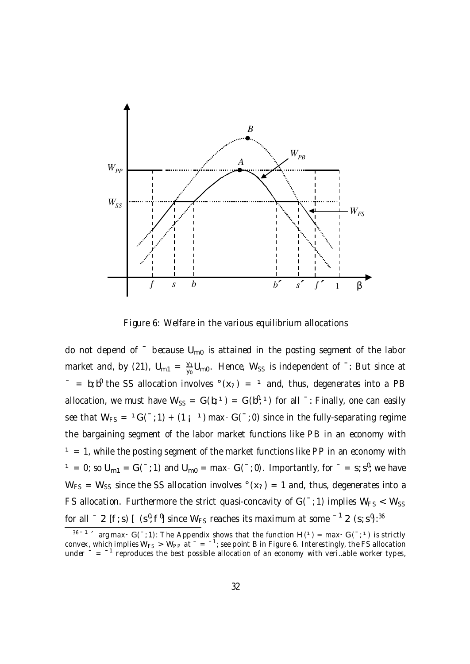

Figure 6: Welfare in the various equilibrium allocations

do not depend of  $\bar{ }$  because U<sub>m0</sub> is attained in the posting segment of the labor market and, by (21),  $U_{m1} = \frac{V_1}{V_0}$  $_{\rm y_0}^{\rm y_1}$ U<sub>m0</sub>. Hence, W<sub>SS</sub> is independent of  $\bar{\ }$ : But since at  $\bar{a}$  = b; b<sup>o</sup> the SS allocation involves  $\partial(x_2)$  = <sup>1</sup> and, thus, degenerates into a PB allocation, we must have  $\mathsf{W}_{\mathsf{SS}}=\mathsf{G}(\mathsf{b};\,{}^{\mathsf{1}})=\mathsf{G}(\mathsf{b}^{\mathsf{0}};\,{}^{\mathsf{1}})$  for all  $\bar{\ }$  : Finally, one can easily see that  $W_{FS} = {}^{1}G(-;1) + (1 + 1)$  max-  $G(-;0)$  since in the fully-separating regime the bargaining segment of the labor market functions like PB in an economy with  $1 = 1$ , while the posting segment of the market functions like PP in an economy with  $1 = 0$ ; so  $U_{m1} = G($ ; 1) and  $U_{m0} = \text{max-} G($ ; 0). Importantly, for  $= s; s^0$ ; we have  $W_{FS}$  = W<sub>SS</sub> since the SS allocation involves  $\textdegree(x_7)$  = 1 and, thus, degenerates into a FS allocation. Furthermore the strict quasi-concavity of  $G(^{-};1)$  implies  $W_{FS} < W_{SS}$ for all  $^-$  2 [f; s) [ (s<sup>0</sup>; f<sup>0</sup>] since W<sub>FS</sub> reaches its maximum at some  $^{-1}$  2 (s; s<sup>0</sup>):<sup>36</sup>

 $36-1$   $\sim$  arg max- G( $\sim$ ; 1): The Appendix shows that the function H( $\sim$ ) = max $\sim$  G( $\sim$ ;  $\sim$ ) is strictly convex, which implies W<sub>FS</sub>  $>$  W<sub>PP</sub> at  $^{-}$  =  $^{-1}$ ; see point B in Figure 6. Interestingly, the FS allocation under  $\bar{ }$  =  $\bar{ }$  reproduces the best possible allocation of an economy with veri…able worker types,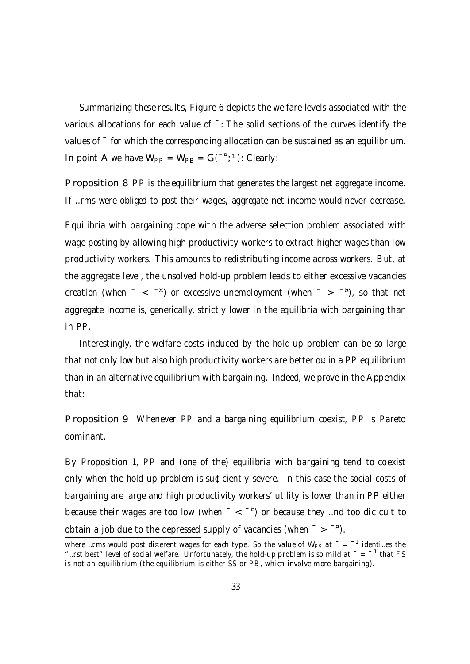Summarizing these results, Figure 6 depicts the welfare levels associated with the various allocations for each value of  $\bar{ }$ : The solid sections of the curves identify the values of  $\bar{ }$  for which the corresponding allocation can be sustained as an equilibrium. In point A we have  $W_{PP} = W_{PB} = G({}^{-n}; 1)$ : Clearly:

Proposition 8 PP is the equilibrium that generates the largest net aggregate income. If …rms were obliged to post their wages, aggregate net income would never decrease.

Equilibria with bargaining cope with the adverse selection problem associated with wage posting by allowing high productivity workers to extract higher wages than low productivity workers. This amounts to redistributing income across workers. But, at the aggregate level, the unsolved hold-up problem leads to either excessive vacancies creation (when  $\bar{\ }$  <  $\bar{\ }$  or excessive unemployment (when  $\bar{\ }$  >  $\bar{\ }$   $\bar{\ }$ ), so that net aggregate income is, generically, strictly lower in the equilibria with bargaining than in PP.

Interestingly, the welfare costs induced by the hold-up problem can be so large that not only low but also high productivity workers are better  $o<sup>π</sup>$  in a PP equilibrium than in an alternative equilibrium with bargaining. Indeed, we prove in the Appendix that:

Proposition 9 Whenever PP and a bargaining equilibrium coexist, PP is Pareto dominant.

By Proposition 1, PP and (one of the) equilibria with bargaining tend to coexist only when the hold-up problem is su¢ciently severe. In this case the social costs of bargaining are large and high productivity workers' utility is lower than in PP either because their wages are too low (when ¯ < ¯ ¤ ) or because they …nd too di¢cult to obtain a job due to the depressed supply of vacancies (when  $\bar{\ }$  >  $\bar{\ }$   $\bar{\ }$  ).

where …rms would post di¤erent wages for each type. So the value of W<sub>FS</sub> at  $^-$  =  $^{-1}$  identi…es the "...rst best" level of social welfare. Unfortunately, the hold-up problem is so mild at  $=$   $^{-1}$  that FS is not an equilibrium (the equilibrium is either SS or PB, which involve more bargaining).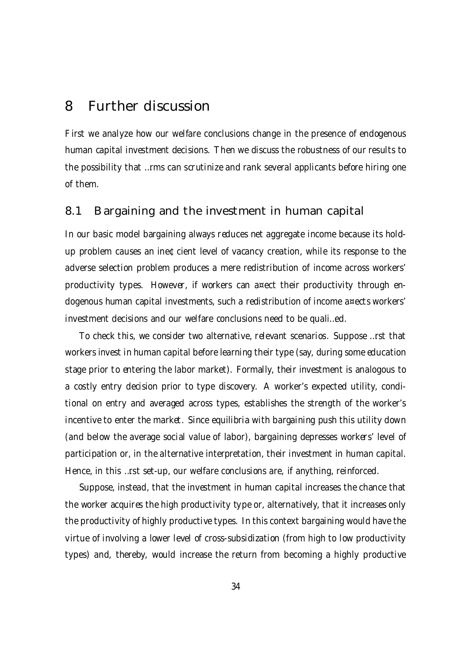# 8 Further discussion

First we analyze how our welfare conclusions change in the presence of endogenous human capital investment decisions. Then we discuss the robustness of our results to the possibility that …rms can scrutinize and rank several applicants before hiring one of them.

### 8.1 Bargaining and the investment in human capital

In our basic model bargaining always reduces net aggregate income because its holdup problem causes an ine¢cient level of vacancy creation, while its response to the adverse selection problem produces a mere redistribution of income across workers' productivity types. However, if workers can a¤ect their productivity through endogenous human capital investments, such a redistribution of income a¤ects workers' investment decisions and our welfare conclusions need to be quali…ed.

To check this, we consider two alternative, relevant scenarios. Suppose …rst that workers invest in human capital before learning their type (say, during some education stage prior to entering the labor market). Formally, their investment is analogous to a costly entry decision prior to type discovery. A worker's expected utility, conditional on entry and averaged across types, establishes the strength of the worker's incentive to enter the market. Since equilibria with bargaining push this utility down (and below the average social value of labor), bargaining depresses workers' level of participation or, in the alternative interpretation, their investment in human capital. Hence, in this …rst set-up, our welfare conclusions are, if anything, reinforced.

Suppose, instead, that the investment in human capital increases the chance that the worker acquires the high productivity type or, alternatively, that it increases only the productivity of highly productive types. In this context bargaining would have the virtue of involving a lower level of cross-subsidization (from high to low productivity types) and, thereby, would increase the return from becoming a highly productive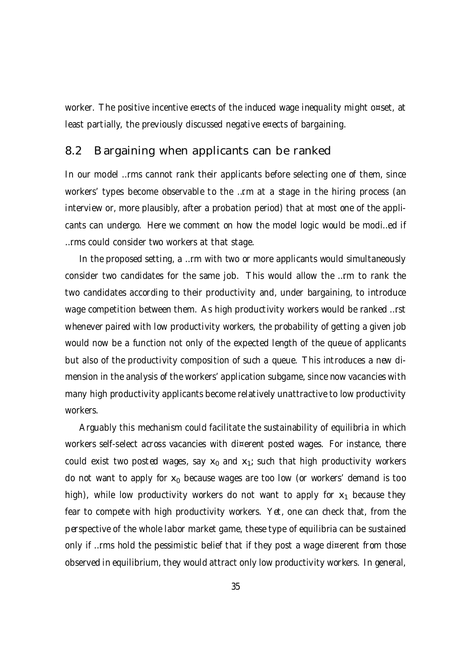worker. The positive incentive e¤ects of the induced wage inequality might o¤set, at least partially, the previously discussed negative e¤ects of bargaining.

### 8.2 Bargaining when applicants can be ranked

In our model …rms cannot rank their applicants before selecting one of them, since workers' types become observable to the …rm at a stage in the hiring process (an interview or, more plausibly, after a probation period) that at most one of the applicants can undergo. Here we comment on how the model logic would be modi…ed if …rms could consider two workers at that stage.

In the proposed setting, a …rm with two or more applicants would simultaneously consider two candidates for the same job. This would allow the …rm to rank the two candidates according to their productivity and, under bargaining, to introduce wage competition between them. As high productivity workers would be ranked …rst whenever paired with low productivity workers, the probability of getting a given job would now be a function not only of the expected length of the queue of applicants but also of the productivity composition of such a queue. This introduces a new dimension in the analysis of the workers' application subgame, since now vacancies with many high productivity applicants become relatively unattractive to low productivity workers.

Arguably this mechanism could facilitate the sustainability of equilibria in which workers self-select across vacancies with di¤erent posted wages. For instance, there could exist two posted wages, say  $x_0$  and  $x_1$ ; such that high productivity workers do not want to apply for  $x_0$  because wages are too low (or workers' demand is too high), while low productivity workers do not want to apply for  $x_1$  because they fear to compete with high productivity workers. Yet, one can check that, from the perspective of the whole labor market game, these type of equilibria can be sustained only if …rms hold the pessimistic belief that if they post a wage di¤erent from those observed in equilibrium, they would attract only low productivity workers. In general,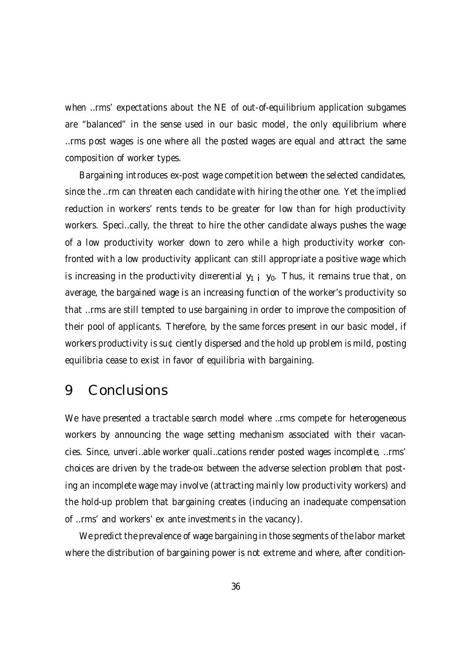when …rms' expectations about the NE of out-of-equilibrium application subgames are "balanced" in the sense used in our basic model, the only equilibrium where …rms post wages is one where all the posted wages are equal and attract the same composition of worker types.

Bargaining introduces ex-post wage competition between the selected candidates, since the …rm can threaten each candidate with hiring the other one. Yet the implied reduction in workers' rents tends to be greater for low than for high productivity workers. Speci…cally, the threat to hire the other candidate always pushes the wage of a low productivity worker down to zero while a high productivity worker confronted with a low productivity applicant can still appropriate a positive wage which is increasing in the productivity di¤erential  $y_1$   $y_0$ . Thus, it remains true that, on average, the bargained wage is an increasing function of the worker's productivity so that …rms are still tempted to use bargaining in order to improve the composition of their pool of applicants. Therefore, by the same forces present in our basic model, if workers productivity is su¢ciently dispersed and the hold up problem is mild, posting equilibria cease to exist in favor of equilibria with bargaining.

# 9 Conclusions

We have presented a tractable search model where ... rms compete for heterogeneous workers by announcing the wage setting mechanism associated with their vacancies. Since, unveri…able worker quali…cations render posted wages incomplete, …rms' choices are driven by the trade-o¤ between the adverse selection problem that posting an incomplete wage may involve (attracting mainly low productivity workers) and the hold-up problem that bargaining creates (inducing an inadequate compensation of …rms' and workers' ex ante investments in the vacancy).

We predict the prevalence of wage bargaining in those segments of the labor market where the distribution of bargaining power is not extreme and where, after condition-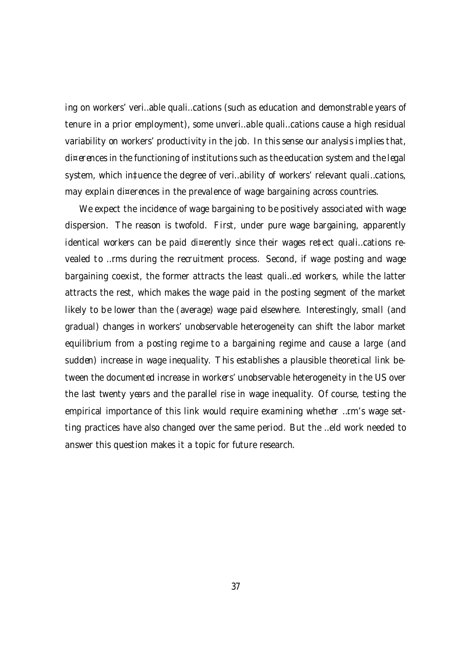ing on workers' veri…able quali…cations (such as education and demonstrable years of tenure in a prior employment), some unveri…able quali…cations cause a high residual variability on workers' productivity in the job. In this sense our analysis implies that, di¤erences in the functioning of institutions such as the education system and the legal system, which in‡uence the degree of veri…ability of workers' relevant quali…cations, may explain di¤erences in the prevalence of wage bargaining across countries.

We expect the incidence of wage bargaining to be positively associated with wage dispersion. The reason is twofold. First, under pure wage bargaining, apparently identical workers can be paid di¤erently since their wages re‡ect quali…cations revealed to …rms during the recruitment process. Second, if wage posting and wage bargaining coexist, the former attracts the least quali…ed workers, while the latter attracts the rest, which makes the wage paid in the posting segment of the market likely to be lower than the (average) wage paid elsewhere. Interestingly, small (and gradual) changes in workers' unobservable heterogeneity can shift the labor market equilibrium from a posting regime to a bargaining regime and cause a large (and sudden) increase in wage inequality. This establishes a plausible theoretical link between the documented increase in workers' unobservable heterogeneity in the US over the last twenty years and the parallel rise in wage inequality. Of course, testing the empirical importance of this link would require examining whether …rm's wage setting practices have also changed over the same period. But the …eld work needed to answer this question makes it a topic for future research.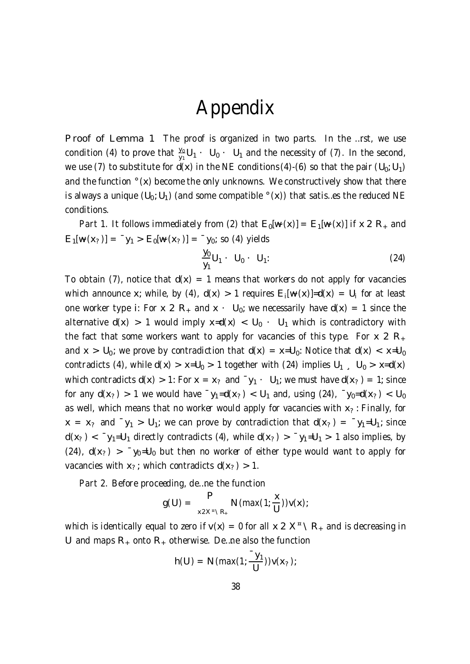# Appendix

Proof of Lemma 1 The proof is organized in two parts. In the ...rst, we use condition (4) to prove that  $\frac{\gamma_0}{\gamma_1}$  $\frac{y_0}{y_1}$ U<sub>1</sub> · U<sub>0</sub> · U<sub>1</sub> and the necessity of (7). In the second, we use (7) to substitute for d(x) in the NE conditions (4)-(6) so that the pair (U<sub>0</sub>; U<sub>1</sub>) and the function  $\circ$  (x) become the only unknowns. We constructively show that there is always a unique  $(U_0; U_1)$  (and some compatible  $\degree(x)$ ) that satis...es the reduced NE conditions.

Part 1. It follows immediately from (2) that  $E_0[w(x)] = E_1[w(x)]$  if x 2 R<sub>+</sub> and  $E_1[w(x_2)] = y_1 > E_0[w(x_2)] = y_0$ ; so (4) yields

$$
\frac{y_0}{y_1}U_1 \cdot U_0 \cdot U_1: \qquad (24)
$$

To obtain (7), notice that  $d(x) = 1$  means that workers do not apply for vacancies which announce x; while, by (4),  $d(x) > 1$  requires  $E_i[w(x)]$ = $d(x) = U_i$  for at least one worker type i: For x 2 R<sub>+</sub> and x  $\cdot$  U<sub>0</sub>; we necessarily have  $d(x) = 1$  since the alternative  $d(x) > 1$  would imply  $x = d(x) < U_0 \cdot U_1$  which is contradictory with the fact that some workers want to apply for vacancies of this type. For  $x \ge R_+$ and  $x > U_0$ ; we prove by contradiction that  $d(x) = x = U_0$ : Notice that  $d(x) < x = U_0$ contradicts (4), while  $d(x) > x=U_0 > 1$  together with (24) implies  $U_1$ ,  $U_0 > x=d(x)$ which contradicts  $d(x) > 1$ : For  $x = x_2$  and  $-y_1 \cdot U_1$ ; we must have  $d(x_2) = 1$ ; since for any  $d(x_2) > 1$  we would have  $-y_1 = d(x_2) < U_1$  and, using (24),  $-y_0 = d(x_2) < U_0$ as well, which means that no worker would apply for vacancies with  $x<sub>2</sub>$ : Finally, for  $x = x_2$  and  $-y_1 > U_1$ ; we can prove by contradiction that  $d(x_2) = -y_1=U_1$ ; since  $d(x_2) <$   $\neg$ y<sub>1</sub>=U<sub>1</sub> directly contradicts (4), while  $d(x_2) > \neg$ y<sub>1</sub>=U<sub>1</sub> > 1 also implies, by (24),  $d(x_2) > y_0=U_0$  but then no worker of either type would want to apply for vacancies with  $x_{2}$ ; which contradicts  $d(x_{2}) > 1$ .

Part 2. Before proceeding, de…ne the function

$$
g(U) = \sum_{x 2X^x \setminus R_+} N \left( \max(1; \frac{x}{U}) \right) v(x);
$$

which is identically equal to zero if  $v(x) = 0$  for all  $x \, 2 \, X^{\pi} \setminus R_{+}$  and is decreasing in U and maps  $R_+$  onto  $R_+$  otherwise. De ... ne also the function

$$
h(U) = N(max(1; \frac{y_1}{U}))v(x_2);
$$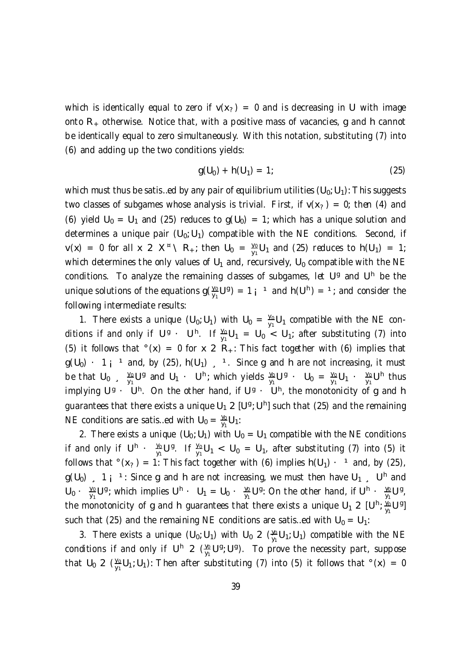which is identically equal to zero if  $v(x<sub>2</sub>) = 0$  and is decreasing in U with image onto  $R_{+}$  otherwise. Notice that, with a positive mass of vacancies, g and h cannot be identically equal to zero simultaneously. With this notation, substituting (7) into (6) and adding up the two conditions yields:

$$
g(U_0) + h(U_1) = 1;
$$
 (25)

which must thus be satis...ed by any pair of equilibrium utilities  $(U_0; U_1)$ : This suggests two classes of subgames whose analysis is trivial. First, if  $v(x<sub>2</sub>) = 0$ ; then (4) and (6) yield  $U_0 = U_1$  and (25) reduces to  $q(U_0) = 1$ ; which has a unique solution and determines a unique pair  $(U_0; U_1)$  compatible with the NE conditions. Second, if  $v(x) = 0$  for all  $x \geq X^{\pi} \setminus R_{+}$ ; then  $U_0 = \frac{y_0}{y_1}$  $\frac{y_0}{y_1}$ U<sub>1</sub> and (25) reduces to h(U<sub>1</sub>) = 1; which determines the only values of  $U_1$  and, recursively,  $U_0$  compatible with the NE conditions. To analyze the remaining classes of subgames, let U<sup>g</sup> and Uh be the unique solutions of the equations g( $\frac{y_0}{y_0}$  $\frac{y_0}{y_1}$ U<sup>g</sup>) = 1<sub>i</sub> 1 and h(U<sup>h</sup>) = <sup>1</sup>; and consider the following intermediate results:

1. There exists a unique  $(U_0; U_1)$  with  $U_0 = \frac{V_0}{V_1}$  $\frac{\mathsf{y}_0}{\mathsf{y}_1} \mathsf{U}_1$  compatible with the NE conditions if and only if  $\mathsf{U}^{\mathsf{g}}\cdot\mathsf{U}^{\mathsf{h}}$ . If  $\frac{\mathsf{v}_0}{\mathsf{y}_1}$  $\frac{\mathsf{y}_{\mathsf{a}}}{\mathsf{y}_{\mathsf{1}}} \mathsf{U}_1$  =  $\mathsf{U}_0$  <  $\mathsf{U}_1$ ; after substituting (7) into (5) it follows that  $\degree(x) = 0$  for x 2 R<sub>+</sub>: This fact together with (6) implies that  $g(U_0)$  · 1  $_i$  <sup>1</sup> and, by (25), h(U<sub>1</sub>)  $\frac{1}{2}$  <sup>1</sup>. Since g and h are not increasing, it must be that  $\mathsf{U}_0$  ,  $\frac{\mathsf{y}_0}{\mathsf{y}_1}$  $\frac{y_0}{y_1}$ U<sup>g</sup> and U<sub>1</sub> · U<sup>h</sup>; which yields  $\frac{y_0}{y_1}$  $y_1^{\log}$ U<sup>g</sup> · U<sub>0</sub> =  $\frac{y_0}{y_1}$ سلا . ⊻0<br>y<sub>1</sub> · y<sub>1</sub> <sup>y</sup>≙U<sup>h</sup> thus implying  $U^g$  · U<sup>h</sup>. On the other hand, if  $U^g$  · U<sup>h</sup>, the monotonicity of g and h guarantees that there exists a unique U<sub>1</sub> 2  $[\mathsf{U}^\mathsf{g};\mathsf{U}^\mathsf{h}]$  such that (25) and the remaining NE conditions are satis...ed with  $U_0 = \frac{V_0}{V_1}$ <u>yo</u> U<sub>1</sub>:

2. There exists a unique  $(U_0; U_1)$  with  $U_0 = U_1$  compatible with the NE conditions if and only if  $U^h \cdot \frac{y_0}{y_1}$ ⊻ոU<sup>g</sup>. If ⊻ո<br>y<sub>1</sub>  $y_1^{\underline{\mathsf{w}}_0}\mathsf{U}_1 < \mathsf{U}_0 = \mathsf{U}_1$ , after substituting (7) into (5) it follows that  $\degree$ (x<sub>2</sub>) = 1: This fact together with (6) implies h(U<sub>1</sub>) · <sup>1</sup> and, by (25),  $g(U_0)$  , 1 <sub>i</sub> <sup>1</sup>: Since g and h are not increasing, we must then have U<sub>1</sub>, U<sup>h</sup> and  $\mathsf{U}_0 \cdot \frac{\mathsf{y}_0}{\mathsf{y}_1}$  $\frac{y_0}{y_1}U^g$ ; which implies  $U^h \cdot U_1 = U_0 \cdot \frac{y_0}{y_1}$  $\frac{\mathsf{x}_0}{\mathsf{y}_1}$ U $^{\mathsf{g}}$ : On the other hand, if U $^{\mathsf{h}}$   $\cdot$   $\frac{\mathsf{x}_0}{\mathsf{y}_1}$ <u>yo</u> U <sup>g</sup>, the monotonicity of g and h guarantees that there exists a unique U<sub>1</sub> 2  $[{\sf U}^{\sf h},\frac{\sf w}{\sf y}_1]$ <mark>չ</mark>ն U <sup>g</sup>] such that (25) and the remaining NE conditions are satis...ed with  $\sf{U}_0=\sf{U}_1$ :

3. There exists a unique  $(U_0; U_1)$  with  $U_0$  2  $(\frac{y_0}{y_1})$  $\frac{y_0}{y_1}$ U<sub>1</sub>; U<sub>1</sub>) compatible with the NE conditions if and only if  $\mathsf{U}^{\mathsf{h}}$  2  $(\frac{\mathsf{y}_{0}}{\mathsf{y}_{1}})$  $\frac{\mathsf{x}_0}{\mathsf{y}_1}$ U $^{\mathsf{g}}$ ; U $^{\mathsf{g}}$ ). To prove the necessity part, suppose that  $\mathsf{U}_0$  2  $(\frac{\mathsf{y}_0}{\mathsf{y}_1})$  $\frac{y_0}{y_1}$ U<sub>1</sub>;U<sub>1</sub>): Then after substituting (7) into (5) it follows that  $^{\circ}$ (x) = 0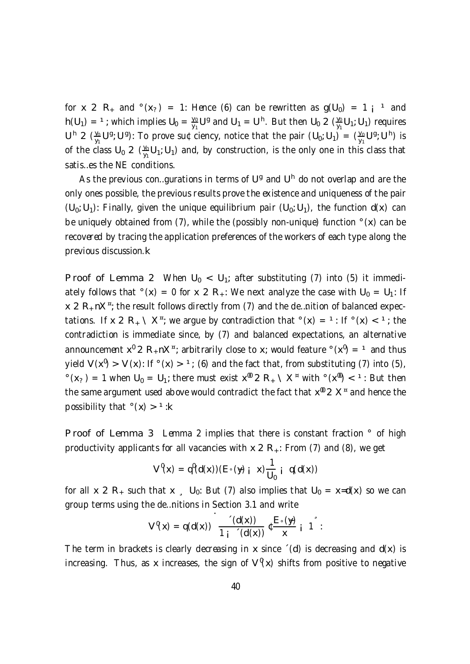for x 2 R<sub>+</sub> and  $\textdegree(x_7)$  = 1: Hence (6) can be rewritten as  $g(U_0) = 1$  i  $\textdegree(1)$  and  $h(U_1) = 1$ ; which implies  $U_0 = \frac{V_0}{V_1}$  $\frac{y_0}{y_1}$ U<sup>g</sup> and U<sub>1</sub> = U<sup>h</sup>. But then U<sub>0</sub> 2 ( $\frac{y_0}{y_1}$  $\frac{y_0}{y_1}$ U<sub>1</sub>; U<sub>1</sub>) requires U<sup>h</sup> 2 ( $\frac{y_0}{y_1}$  $\frac{v_0}{y_1}$ U $^{g}$ ; U $^{g}$ ): To prove su¢ciency, notice that the pair (U<sub>0</sub>; U<sub>1</sub>) = ( $\frac{\alpha_0}{y_1}$ لا (U<sup>g</sup>; U<sup>h</sup>) is of the class  $\mathsf{U}_{0}$  2  $(\frac{\mathsf{Y}_{0}}{\mathsf{y}_{1}})$  $\frac{\mathsf{v}_0}{\mathsf{y}_1}$ U<sub>1</sub>; U<sub>1</sub>) and, by construction, is the only one in this class that satis…es the NE conditions.

As the previous con...gurations in terms of U<sup>g</sup> and U<sup>h</sup> do not overlap and are the only ones possible, the previous results prove the existence and uniqueness of the pair  $(U_0; U_1)$ : Finally, given the unique equilibrium pair  $(U_0; U_1)$ , the function d(x) can be uniquely obtained from (7), while the (possibly non-unique) function  $\degree$ (x) can be recovered by tracing the application preferences of the workers of each type along the previous discussion.k

Proof of Lemma 2 When  $U_0 < U_1$ ; after substituting (7) into (5) it immediately follows that  $\degree(x) = 0$  for x 2 R<sub>+</sub>: We next analyze the case with  $U_0 = U_1$ : If  $x$  2  $R_+nX^{\pi}$ ; the result follows directly from (7) and the de…nition of balanced expectations. If  $x \in \mathbb{R}_+ \setminus X^*$ ; we argue by contradiction that  $\circ(x) = 1$ : If  $\circ(x) < 1$ ; the contradiction is immediate since, by (7) and balanced expectations, an alternative announcement  $x^0$  2 R<sub>+</sub>nX<sup>¤</sup>; arbitrarily close to x; would feature  $\degree$ ( $x^0$ ) = <sup>1</sup> and thus yield V( $x^0$ ) > V(x): If  $^{\circ}$ (x) >  $^1$ ; (6) and the fact that, from substituting (7) into (5),  $\sigma^{\circ}(x_7) = 1$  when  $U_0 = U_1$ ; there must exist  $x^{\omega} \supset R_+ \setminus X^{\omega}$  with  $\sigma^{\circ}(x^{\omega}) < 1$ : But then the same argument used above would contradict the fact that  $x^\emptyset$  2  $X^{\alpha}$  and hence the possibility that  $\degree$ (x) > 1:k

Proof of Lemma 3 Lemma 2 implies that there is constant fraction ° of high productivity applicants for all vacancies with  $x \, 2 \, R_{+}$ : From (7) and (8), we get

$$
V^0(x) = q^0(d(x))(E \cdot (y) + x)\frac{1}{U_0} + q(d(x))
$$

for all x 2 R<sub>+</sub> such that x  $\,$  U<sub>0</sub>: But (7) also implies that U<sub>0</sub> = x=d(x) so we can group terms using the de…nitions in Section 3.1 and write

$$
V^{\mathfrak{g}}(x) = q(d(x)) \frac{\check{d}(d(x))}{1 + \check{d}(d(x))} \mathfrak{g} \frac{E \circ (y)}{x} + 1.
$$

The term in brackets is clearly decreasing in x since  $\hat{a}$  (d) is decreasing and  $d(x)$  is increasing. Thus, as x increases, the sign of V<sup>(v</sup>(x) shifts from positive to negative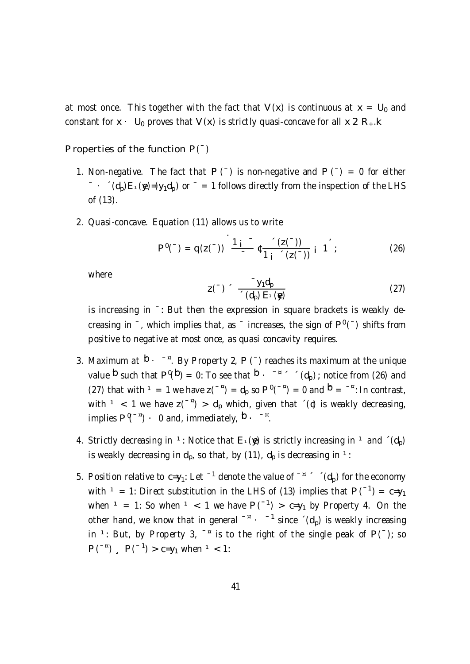at most once. This together with the fact that V (x) is continuous at  $x = U_0$  and constant for  $x \cdot U_0$  proves that V (x) is strictly quasi-concave for all  $x \ge R_+$ .

#### Properties of the function  $P(\bar{\ })$

- 1. Non-negative. The fact that P  $($ <sup>-</sup>) is non-negative and P  $($ <sup>-</sup> $)$  = 0 for either  $\overline{\phantom{a}}$  ·  $\overline{\phantom{a}}$  (d<sub>n</sub>)E<sub>1</sub>( $\overline{\phantom{a}}$ ) or  $\overline{\phantom{a}}$  = 1 follows directly from the inspection of the LHS of (13).
- 2. Quasi-concave. Equation (11) allows us to write

$$
P^{\theta}(\bar{\ }) = q(z(\bar{\ }) ) \cdot \frac{1}{1 - \bar{\ }} \sqrt{ \frac{z(\bar{\ })}{1 - \bar{\ }} \left( \frac{z(\bar{\ })}{1 - \bar{\ } \left( \frac{z(\bar{\ })}{1 - \bar{\ } \left( \frac{z(\bar{\ })}{1 - \bar{\ } \left( \frac{z(\bar{\ })}{1 - \bar{\ } \left( \frac{z(\bar{\ })}{1 - \bar{\ } \left( \frac{z(\bar{\ })}{1 - \bar{\ } \left( \frac{z(\bar{\ })}{1 - \bar{\ } \left( \frac{z(\bar{\ })}{1 - \bar{\ } \left( \frac{z(\bar{\ })}{1 - \bar{\ } \left( \frac{z(\bar{\ })}{1 - \bar{\ } \left( \frac{z(\bar{\ })}{1 - \bar{\ } \left( \frac{z(\bar{\ })}{1 - \bar{\ } \left( \frac{z(\bar{\ })}{1 - \bar{\ } \left( \frac{z(\bar{\ })}{1 - \bar{\ } \left( \frac{z(\bar{\ })}{1 - \bar{\ } \left( \frac{z(\bar{\ })}{1 - \bar{\ } \left( \frac{z(\bar{\ })}{1 - \bar{\ } \left( \frac{z(\bar{\ })}{1 - \bar{\ } \left( \frac{z(\bar{\ })}{1 - \bar{\ } \left( \frac{z(\bar{\ })}{1 - \bar{\ } \left( \frac{z(\bar{\ })}{1 - \bar{\ } \left( \frac{z(\bar{\ })}{1 - \bar{\ } \left( \frac{z(\bar{\ })}{1 - \bar{\ } \left( \frac{z(\bar{\ })}{1 - \bar{\ } \left( \frac{z(\bar{\ })}{1 - \bar{\ } \left( \frac{z(\bar{\ })}{1 - \bar{\ } \left( \frac{z(\bar{\ })}{1 - \bar{\ } \left( \frac{z(\bar{\ })}{1 - \bar{\ } \left( \frac{z(\bar{\ })}{1 - \bar{\ } \left( \frac{z(\bar{\ })}{1 - \bar{\ } \left( \frac{z(\bar{\ })}{1 - \bar{\ } \left( \frac{z(\bar{\ })}{1 - \bar{\ } \left( \frac{z(\bar{\ })}{1 - \bar{\ } \left( \frac{z(\bar{\ })}{1 - \bar{\ } \left( \frac{z(\bar{\ })}{1 - \bar{\ } \left( \frac{z(\bar{\ })}{1 - \bar{\ } \left( \frac{z(\bar{\ })}{1 - \bar{\ } \left( \frac{z(\bar{\ })}{1 - \bar{\ } \left( \frac{z(\bar{\ })}{1 - \bar{\ } \left( \frac{z(\bar
$$

where

$$
Z^{(-)} \sim \frac{-y_1 d_p}{(d_p) E_1(\mathbf{F})}
$$
 (27)

is increasing in ¯: But then the expression in square brackets is weakly decreasing in  $\bar{\ }$  , which implies that, as  $\bar{\ } \;$  increases, the sign of P $^{\mathfrak{g}}$  ( $\bar{\ }$ ) shifts from positive to negative at most once, as quasi concavity requires.

- 3. Maximum at  $\overline{b}$  .  $\overline{a}$ . By Property 2, P ( $\overline{a}$ ) reaches its maximum at the unique value **<sup>b</sup>** such that  $P^{\theta}(\mathbf{b}) = 0$ : To see that **<sup>b</sup>**  $\cdot$   $\cdot$   $\cdot$   $\cdot$   $\cdot$   $(d_p)$ ; notice from (26) and (27) that with  $1 = 1$  we have  $z^{n} = d_p$  so  $P^{\theta}(\overline{a}^n) = 0$  and  $\overline{b} = \overline{a}^n$ : In contrast, with  $1 < 1$  we have  $z(\overline{\ }^n) > d_p$  which, given that  $\hat{}(\ell)$  is weakly decreasing, implies  $P^{\theta(\pi^n)} \cdot 0$  and, immediately,  $\mathbf{D} \cdot \pi^n$ .
- 4. Strictly decreasing in <sup>1</sup>: Notice that  $E_1(\mathbf{p})$  is strictly increasing in <sup>1</sup> and  $(q_p)$ is weakly decreasing in  $d_p$ , so that, by (11),  $d_p$  is decreasing in <sup>1</sup>:
- 5. Position relative to c=y<sub>1</sub>: Let <sup>-1</sup> denote the value of <sup>-</sup> "  $\hat{p}$  (d<sub>p</sub>) for the economy with <sup>1</sup> = 1: Direct substitution in the LHS of (13) implies that P( $^{-1}$ ) = c=y<sub>1</sub> when  $1 = 1$ : So when  $1 < 1$  we have P( $^{-1}$ )  $>$  c=y<sub>1</sub> by Property 4. On the other hand, we know that in general  $^{-1}$   $\cdot$   $^{-1}$  since  $\hat{ }$  (d<sub>p</sub>) is weakly increasing in <sup>1</sup>: But, by Property 3,  $\overline{\ }$  is to the right of the single peak of P( $\overline{\ }$ ); so  $P(^{-n})$ ,  $P(^{-1}) > c = y_1$  when  $1 < 1$ :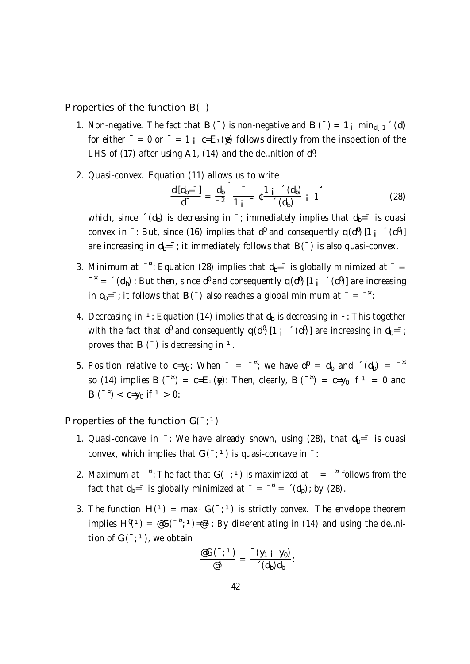#### Properties of the function B( $\bar{ }$ )

- 1. Non-negative. The fact that B  $($ <sup>-</sup>) is non-negative and B  $($ <sup>-</sup>) = 1<sub>i</sub> min<sub>d 1</sub>  $($ d) for either  $= 0$  or  $= 1$  ; c=E<sub>1</sub>( $\phi$ ) follows directly from the inspection of the LHS of (17) after using A1, (14) and the de...nition of  $d^0$ .
- 2. Quasi-convex. Equation (11) allows us to write

$$
\frac{d [d_b{}^{=^-}]}{d^-} = \frac{d_b}{-2} \left[ \frac{1}{1} \frac{1}{1} \left( \frac{d_b}{d_b} \right) i \right] \tag{28}
$$

which, since  $( d_b )$  is decreasing in  $\bar{ }$ ; immediately implies that  $d_b = \bar{ }$  is quasi convex in  $\bar{\ }$ : But, since (16) implies that  ${\sf d}^{\scriptscriptstyle\emptyset}$  and consequently  ${\sf q}\,({\sf d}^{\scriptscriptstyle\emptyset})$  [1  $_{\mathsf{i}}$   $\bar{\ }$  ( ${\sf d}^{\scriptscriptstyle\emptyset})$ ] are increasing in  $d_b = \frac{1}{2}$ ; it immediately follows that  $B(\bar{\ })$  is also quasi-convex.

- 3. Minimum at  $\overline{\phantom{a}}^n$ : Equation (28) implies that  $d_{b} = \overline{\phantom{a}}$  is globally minimized at  $\overline{\phantom{a}} =$  $T^{\mu} = (d_b)$ : But then, since d<sup>o</sup> and consequently q (d<sup>o</sup>) [1 i  $($  (d<sup>o</sup>)] are increasing in  $d_b = \bar{ }$ ; it follows that B( $\bar{ }$ ) also reaches a global minimum at  $\bar{ }$  =  $\bar{ }$  =  $\bar{ }$
- 4. Decreasing in <sup>1</sup>: Equation (14) implies that  $d_b$  is decreasing in <sup>1</sup>: This together with the fact that  $d^{\theta}$  and consequently q ( $d^{\theta}$ ) [1  $\in$  ^ ( $d^{\theta}$ )] are increasing in  $d_{b}$ = $^{-}$  ; proves that  $B($ <sup>-</sup> $)$  is decreasing in  $<sup>1</sup>$ .</sup>
- 5. Position relative to c=y<sub>0</sub>: When  $\bar{z} = \bar{z}$ ; we have  $d^0 = d_b$  and  $d^0 = \bar{d}_b$ so (14) implies B ( $\bar{a}$ ) = c=E<sub>1</sub>( $\bar{g}$ ): Then, clearly, B ( $\bar{a}$ ) = c=y<sub>0</sub> if  $\bar{a}$  = 0 and  $B(^{-n}) < c = y_0$  if  $1 > 0$ :

Properties of the function  $G(\frac{1}{2}, 1)$ 

- 1. Quasi-concave in  $\bar{ }$ : We have already shown, using (28), that  $d_h = \bar{ }$  is quasi convex, which implies that  $G^{(-)}$  is quasi-concave in  $\bar{ }$ :
- 2. Maximum at  $\overline{\phantom{a}}^n$ : The fact that G( $\overline{\phantom{a}}$ ; 1) is maximized at  $\overline{\phantom{a}} = \overline{\phantom{a}}^n$  follows from the fact that  $d_b =^-$  is globally minimized at  $^- =^{-n} = (d_p)$ ; by (28).
- 3. The function  $H(1) = max-G(7, 1)$  is strictly convex. The envelope theorem implies  $H^{0}(1) = \mathcal{O}(T^{n}; 1) = 2^{n}$ : By di¤erentiating in (14) and using the de…nition of  $G(\bar{\ };1)$ , we obtain

$$
\frac{{}^{\omega}\mathsf{G}(\bar{\ }^{\cdot};\,1)}{^{\omega\,1}}\,=\,\frac{\bar{\phantom{a}}(y_1\,\mathsf{i}\phantom{a}\,y_0)}{^{\phantom{1}}(d_b)d_b}\,:
$$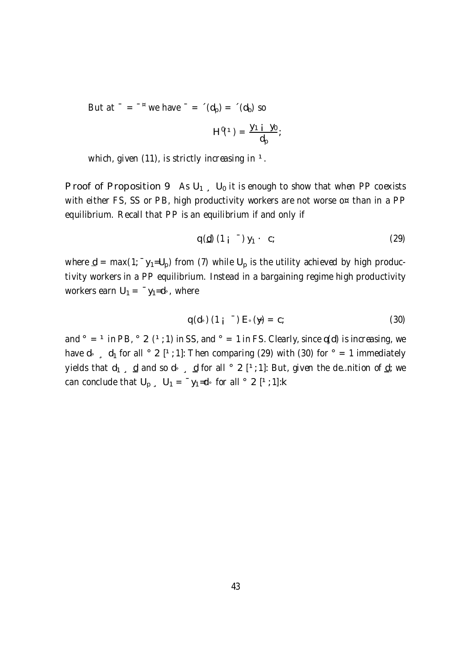But at  $=$   $\bar{a}$  we have  $=$   $\bar{c}(d_p) = \bar{c}(d_p)$  so

$$
H^0(^1) = \frac{y_1 \mathop{\text{!}}\nolimits}{d_p};
$$

which, given  $(11)$ , is strictly increasing in  $1$ .

Proof of Proposition 9 As  $U_1$ ,  $U_0$  it is enough to show that when PP coexists with either FS, SS or PB, high productivity workers are not worse o¤ than in a PP equilibrium. Recall that PP is an equilibrium if and only if

$$
q\left(\underline{d}\right)\left(1\right)\left(1\right)\left(1\right)\left(1\right)\left(1\right)\left(1\right)\left(1\right)\left(1\right)\left(1\right)\left(1\right)\left(1\right)\left(1\right)\left(1\right)\left(1\right)\left(1\right)\left(1\right)\left(1\right)\left(1\right)\left(1\right)\left(1\right)\left(1\right)\left(1\right)\left(1\right)\left(1\right)\left(1\right)\left(1\right)\left(1\right)\left(1\right)\left(1\right)\left(1\right)\left(1\right)\left(1\right)\left(1\right)\left(1\right)\left(1\right)\left(1\right)\left(1\right)\left(1\right)\left(1\right)\left(1\right)\left(1\right)\left(1\right)\left(1\right)\left(1\right)\left(1\right)\left(1\right)\left(1\right)\left(1\right)\left(1\right)\left(1\right)\left(1\right)\left(1\right)\left(1\right)\left(1\right)\left(1\right)\left(1\right)\left(1\right)\left(1\right)\left(1\right)\left(1\right)\left(1\right)\left(1\right)\left(1\right)\left(1\right)\left(1\right)\left(1\right)\left(1\right)\left(1\right)\left(1\right)\left(1\right)\left(1\right)\left(1\right)\left(1\right)\left(1\right)\left(1\right)\left(1\right)\left(1\right)\left(1\right)\left(1\right)\left(1\right)\left(1\right)\left(1\right)\left(1\right)\left(1\right)\left(1\right)\left(1\right)\left(1\right)\left(1\right)\left(1\right)\left(1\right)\left(1\right)\left(1\right)\left(1\right)\left(1\right)\left(1\right)\left(1\right)\left(1\right)\left(1\right)\left(1\right)\left(1\right)\left(1\right)\left(1\right)\left(1\right)\left(1\right)\left(1\right)\left(1\right)\left(1\right)\left(1\right)\left(1\right)\left(1\right)\left(1\right)\left(1\right)\left(1\right)\left(1\right)\left(1\right)\left(1\right)\left(1\right)\left(1\right)\left(1\right)\left(1\right)\left(1\right)\left(1\right)\left(1\right)\left(1\right)\left(1\right
$$

where <u>d</u> = max(1;  $\texttt{y}_1 = \texttt{U}_\texttt{p}$ ) from (7) while  $\texttt{U}_\texttt{p}$  is the utility achieved by high productivity workers in a PP equilibrium. Instead in a bargaining regime high productivity workers earn  $U_1 = -v_1 = d \cdot$ , where

$$
q\left(d_{\circ}\right)\left(1\right)\left(1\right)\circ E_{\circ}\left(y\right)=c;
$$
 (30)

and  $\degree$  =  $\degree$  in PB,  $\degree$  2 ( $\degree$ ; 1) in SS, and  $\degree$  = 1 in FS. Clearly, since q(d) is increasing, we have d<sub>° s</sub> d<sub>1</sub> for all  $\degree$  2 [<sup>1</sup>; 1]: Then comparing (29) with (30) for  $\degree$  = 1 immediately yields that  $d_1$ ,  $\underline{d}$  and so  $d_2$ ,  $\underline{d}$  for all  $\circ$  2 [1; 1]: But, given the de…nition of  $\underline{d}$ ; we can conclude that  $U_p$ ,  $U_1 = -y_1 = d \cdot$  for all ° 2 [1; 1]:k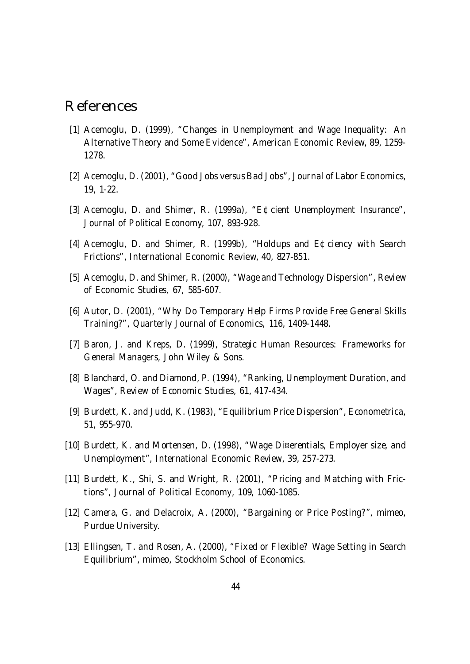# References

- [1] Acemoglu, D. (1999), "Changes in Unemployment and Wage Inequality: An Alternative Theory and Some Evidence", American Economic Review, 89, 1259- 1278.
- [2] Acemoglu, D. (2001), "Good Jobs versus Bad Jobs", Journal of Labor Economics, 19, 1-22.
- [3] Acemoglu, D. and Shimer, R. (1999a), "E¢cient Unemployment Insurance", Journal of Political Economy, 107, 893-928.
- [4] Acemoglu, D. and Shimer, R. (1999b), "Holdups and E¢ciency with Search Frictions", International Economic Review, 40, 827-851.
- [5] Acemoglu, D. and Shimer, R. (2000), "Wage and Technology Dispersion", Review of Economic Studies, 67, 585-607.
- [6] Autor, D. (2001), "Why Do Temporary Help Firms Provide Free General Skills Training?", Quarterly Journal of Economics, 116, 1409-1448.
- [7] Baron, J. and Kreps, D. (1999), Strategic Human Resources: Frameworks for General Managers, John Wiley & Sons.
- [8] Blanchard, O. and Diamond, P. (1994), "Ranking, Unemployment Duration, and Wages", Review of Economic Studies, 61, 417-434.
- [9] Burdett, K. and Judd, K. (1983), "Equilibrium Price Dispersion", Econometrica, 51, 955-970.
- [10] Burdett, K. and Mortensen, D. (1998), "Wage Di¤erentials, Employer size, and Unemployment", International Economic Review, 39, 257-273.
- [11] Burdett, K., Shi, S. and Wright, R. (2001), "Pricing and Matching with Frictions", Journal of Political Economy, 109, 1060-1085.
- [12] Camera, G. and Delacroix, A. (2000), "Bargaining or Price Posting?", mimeo, Purdue University.
- [13] Ellingsen, T. and Rosen, A. (2000), "Fixed or Flexible? Wage Setting in Search Equilibrium", mimeo, Stockholm School of Economics.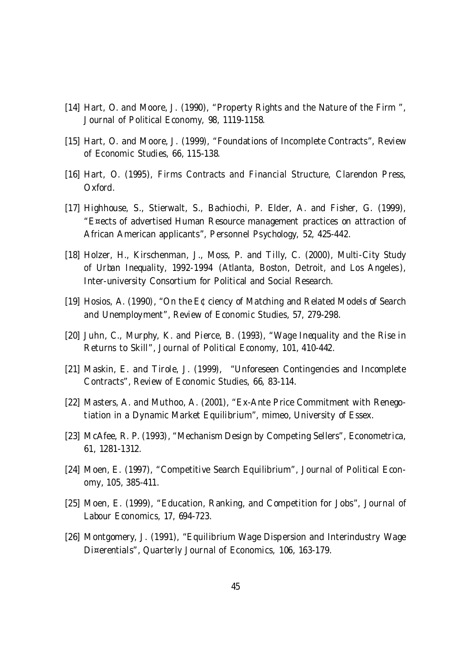- [14] Hart, O. and Moore, J. (1990), "Property Rights and the Nature of the Firm ", Journal of Political Economy, 98, 1119-1158.
- [15] Hart, O. and Moore, J. (1999), "Foundations of Incomplete Contracts", Review of Economic Studies, 66, 115-138.
- [16] Hart, O. (1995), Firms Contracts and Financial Structure, Clarendon Press, Oxford.
- [17] Highhouse, S., Stierwalt, S., Bachiochi, P. Elder, A. and Fisher, G. (1999), "E¤ects of advertised Human Resource management practices on attraction of African American applicants", Personnel Psychology, 52, 425-442.
- [18] Holzer, H., Kirschenman, J., Moss, P. and Tilly, C. (2000), Multi-City Study of Urban Inequality, 1992-1994 (Atlanta, Boston, Detroit, and Los Angeles), Inter-university Consortium for Political and Social Research.
- [19] Hosios, A. (1990), "On the E¢ciency of Matching and Related Models of Search and Unemployment", Review of Economic Studies, 57, 279-298.
- [20] Juhn, C., Murphy, K. and Pierce, B. (1993), "Wage Inequality and the Rise in Returns to Skill", Journal of Political Economy, 101, 410-442.
- [21] Maskin, E. and Tirole, J. (1999), "Unforeseen Contingencies and Incomplete Contracts", Review of Economic Studies, 66, 83-114.
- [22] Masters, A. and Muthoo, A. (2001), "Ex-Ante Price Commitment with Renegotiation in a Dynamic Market Equilibrium", mimeo, University of Essex.
- [23] McAfee, R. P. (1993), "Mechanism Design by Competing Sellers", Econometrica, 61, 1281-1312.
- [24] Moen, E. (1997), "Competitive Search Equilibrium", Journal of Political Economy, 105, 385-411.
- [25] Moen, E. (1999), "Education, Ranking, and Competition for Jobs", Journal of Labour Economics, 17, 694-723.
- [26] Montgomery, J. (1991), "Equilibrium Wage Dispersion and Interindustry Wage Di¤erentials", Quarterly Journal of Economics, 106, 163-179.